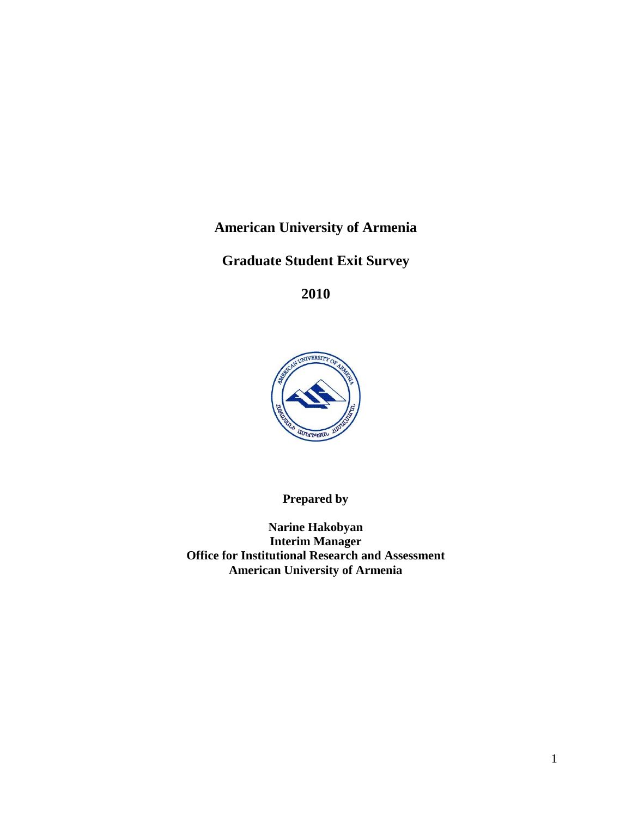**American University of Armenia** 

**Graduate Student Exit Survey**

**2010**



**Prepared by**

**Narine Hakobyan Interim Manager Office for Institutional Research and Assessment American University of Armenia**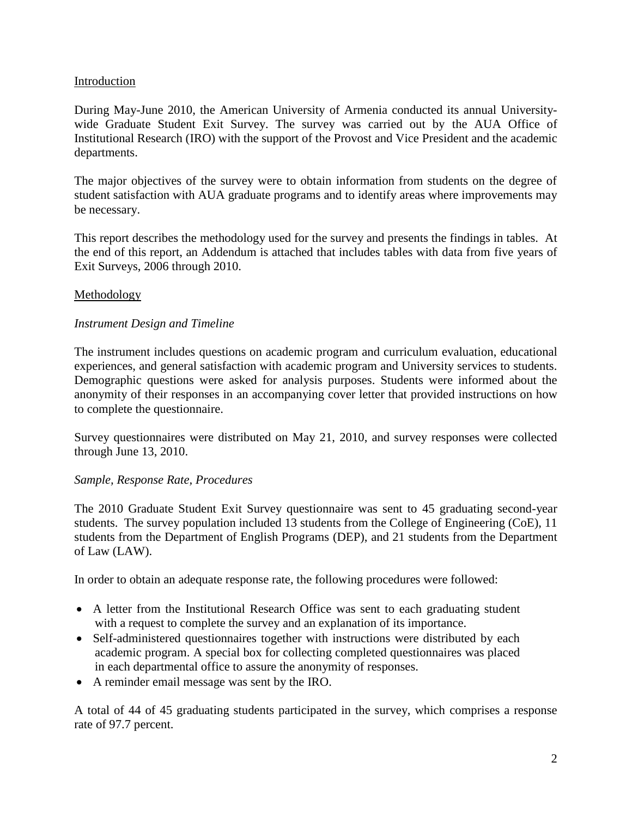#### Introduction

During May-June 2010, the American University of Armenia conducted its annual Universitywide Graduate Student Exit Survey. The survey was carried out by the AUA Office of Institutional Research (IRO) with the support of the Provost and Vice President and the academic departments.

The major objectives of the survey were to obtain information from students on the degree of student satisfaction with AUA graduate programs and to identify areas where improvements may be necessary.

This report describes the methodology used for the survey and presents the findings in tables. At the end of this report, an Addendum is attached that includes tables with data from five years of Exit Surveys, 2006 through 2010.

#### Methodology

#### *Instrument Design and Timeline*

The instrument includes questions on academic program and curriculum evaluation, educational experiences, and general satisfaction with academic program and University services to students. Demographic questions were asked for analysis purposes. Students were informed about the anonymity of their responses in an accompanying cover letter that provided instructions on how to complete the questionnaire.

Survey questionnaires were distributed on May 21, 2010, and survey responses were collected through June 13, 2010.

#### *Sample, Response Rate, Procedures*

The 2010 Graduate Student Exit Survey questionnaire was sent to 45 graduating second-year students. The survey population included 13 students from the College of Engineering (CoE), 11 students from the Department of English Programs (DEP), and 21 students from the Department of Law (LAW).

In order to obtain an adequate response rate, the following procedures were followed:

- A letter from the Institutional Research Office was sent to each graduating student with a request to complete the survey and an explanation of its importance.
- Self-administered questionnaires together with instructions were distributed by each academic program. A special box for collecting completed questionnaires was placed in each departmental office to assure the anonymity of responses.
- A reminder email message was sent by the IRO.

A total of 44 of 45 graduating students participated in the survey, which comprises a response rate of 97.7 percent.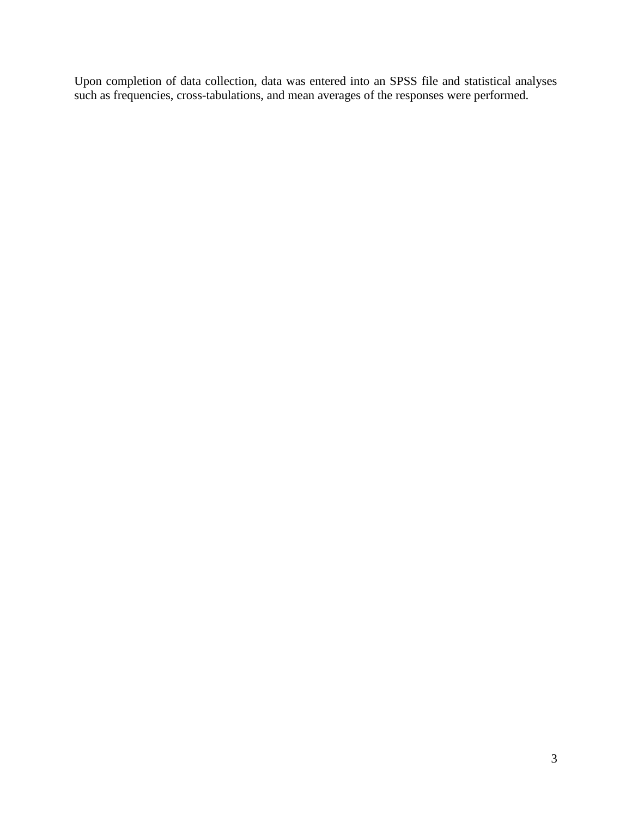Upon completion of data collection, data was entered into an SPSS file and statistical analyses such as frequencies, cross-tabulations, and mean averages of the responses were performed.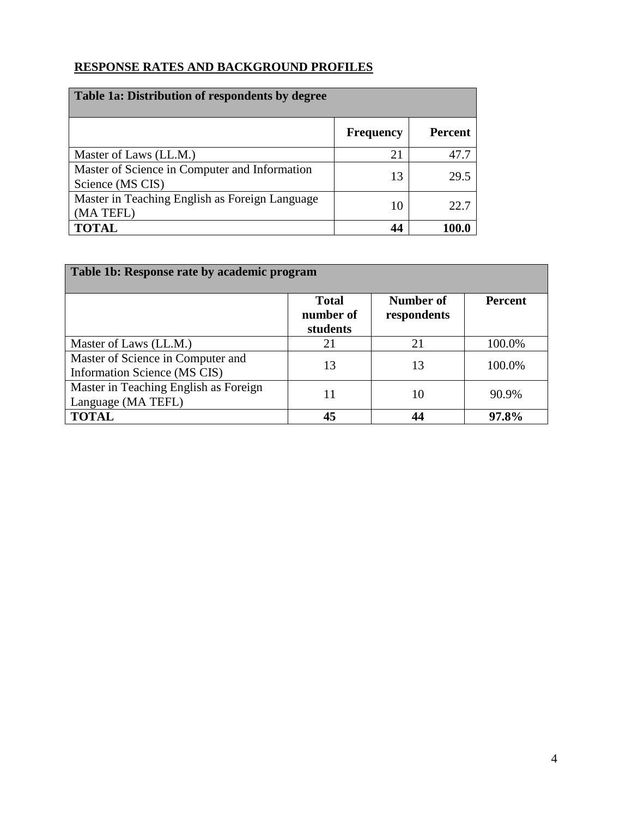## **RESPONSE RATES AND BACKGROUND PROFILES**

| Table 1a: Distribution of respondents by degree                   |                  |                |  |  |  |
|-------------------------------------------------------------------|------------------|----------------|--|--|--|
|                                                                   | <b>Frequency</b> | <b>Percent</b> |  |  |  |
| Master of Laws (LL.M.)                                            | 21               | 47.7           |  |  |  |
| Master of Science in Computer and Information<br>Science (MS CIS) | 13               | 29.5           |  |  |  |
| Master in Teaching English as Foreign Language<br>(MA TEFL)       | 10               | 22.7           |  |  |  |
| <b>TOTAL</b>                                                      | 44               | 100.0          |  |  |  |

| Table 1b: Response rate by academic program                       |                                       |                          |                |  |  |  |
|-------------------------------------------------------------------|---------------------------------------|--------------------------|----------------|--|--|--|
|                                                                   | <b>Total</b><br>number of<br>students | Number of<br>respondents | <b>Percent</b> |  |  |  |
| Master of Laws (LL.M.)                                            | 21                                    | 21                       | 100.0%         |  |  |  |
| Master of Science in Computer and<br>Information Science (MS CIS) | 13                                    | 13                       | 100.0%         |  |  |  |
| Master in Teaching English as Foreign<br>Language (MA TEFL)       | 11                                    | 10                       | 90.9%          |  |  |  |
| <b>TOTAL</b>                                                      | 45                                    | 44                       | 97.8%          |  |  |  |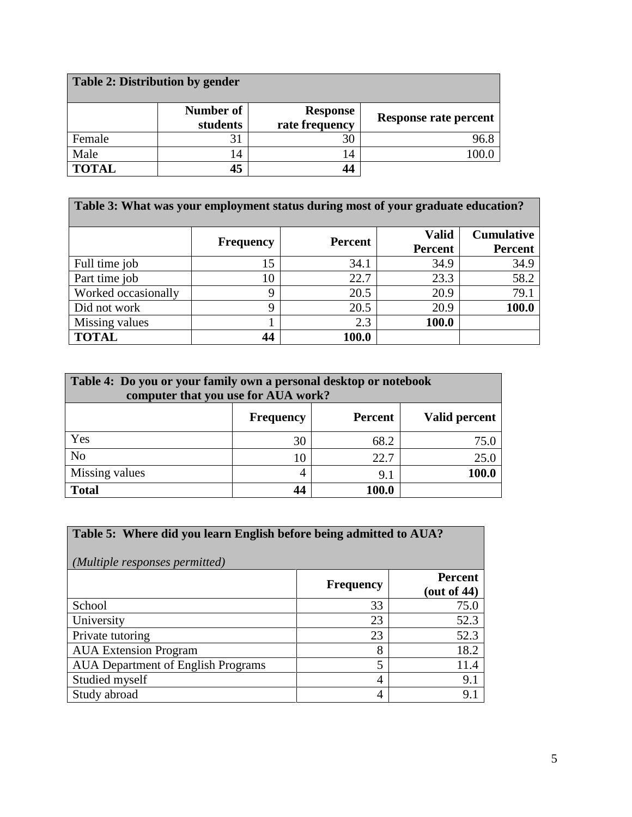| Table 2: Distribution by gender |                       |                                   |                       |  |  |
|---------------------------------|-----------------------|-----------------------------------|-----------------------|--|--|
|                                 | Number of<br>students | <b>Response</b><br>rate frequency | Response rate percent |  |  |
| Female                          | 31                    | 30                                | 96.8                  |  |  |
| Male                            | 14                    | 14                                | .00.0                 |  |  |
| <b>TOTAL</b>                    | 45                    | 44                                |                       |  |  |

| Table 3: What was your employment status during most of your graduate education? |                  |                |                                |                                     |  |
|----------------------------------------------------------------------------------|------------------|----------------|--------------------------------|-------------------------------------|--|
|                                                                                  | <b>Frequency</b> | <b>Percent</b> | <b>Valid</b><br><b>Percent</b> | <b>Cumulative</b><br><b>Percent</b> |  |
| Full time job                                                                    | 15               | 34.1           | 34.9                           | 34.9                                |  |
| Part time job                                                                    | 10               | 22.7           | 23.3                           | 58.2                                |  |
| Worked occasionally                                                              | 9                | 20.5           | 20.9                           | 79.1                                |  |
| Did not work                                                                     | 9                | 20.5           | 20.9                           | 100.0                               |  |
| Missing values                                                                   |                  | 2.3            | 100.0                          |                                     |  |
| <b>TOTAL</b>                                                                     | 44               | 100.0          |                                |                                     |  |

| Table 4: Do you or your family own a personal desktop or notebook<br>computer that you use for AUA work? |                   |       |      |  |  |  |  |  |
|----------------------------------------------------------------------------------------------------------|-------------------|-------|------|--|--|--|--|--|
| Percent<br>Valid percent<br><b>Frequency</b>                                                             |                   |       |      |  |  |  |  |  |
| Yes                                                                                                      | 30                | 68.2  | 75.0 |  |  |  |  |  |
| N <sub>o</sub>                                                                                           | 10                | 22.7  | 25.0 |  |  |  |  |  |
| Missing values                                                                                           | 100.0<br>4<br>9.1 |       |      |  |  |  |  |  |
| <b>Total</b>                                                                                             | 44                | 100.0 |      |  |  |  |  |  |

| Table 5: Where did you learn English before being admitted to AUA?<br>(Multiple responses permitted) |                  |                                  |  |  |  |
|------------------------------------------------------------------------------------------------------|------------------|----------------------------------|--|--|--|
|                                                                                                      | <b>Frequency</b> | <b>Percent</b><br>(out of $44$ ) |  |  |  |
| School                                                                                               | 33               | 75.0                             |  |  |  |
| University                                                                                           | 23               | 52.3                             |  |  |  |
| Private tutoring                                                                                     | 23               | 52.3                             |  |  |  |
| <b>AUA</b> Extension Program                                                                         | 8                | 18.2                             |  |  |  |
| <b>AUA Department of English Programs</b>                                                            | 5                | 11.4                             |  |  |  |
| Studied myself                                                                                       | 4                | 9.1                              |  |  |  |
| Study abroad                                                                                         | 4                | 9.1                              |  |  |  |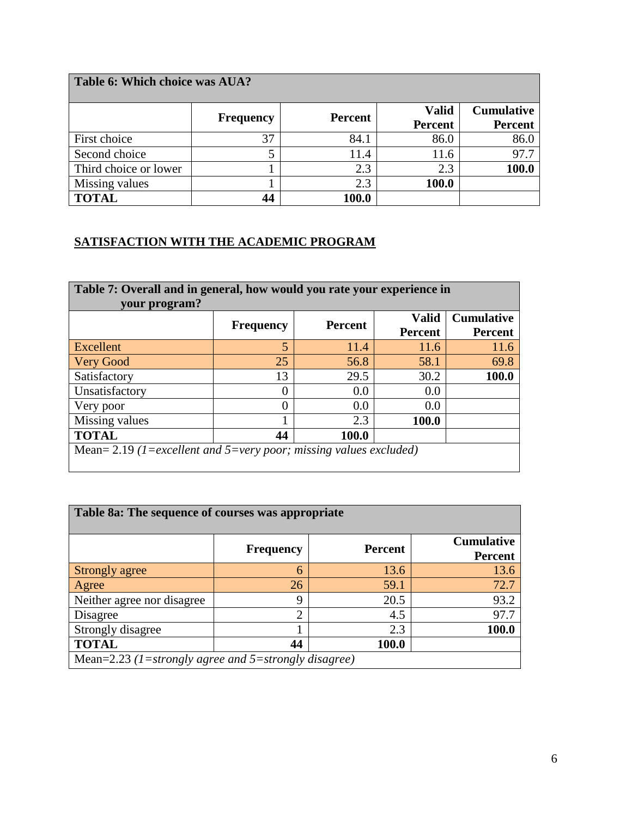| Table 6: Which choice was AUA? |                  |                   |                |                |  |  |
|--------------------------------|------------------|-------------------|----------------|----------------|--|--|
|                                | <b>Valid</b>     | <b>Cumulative</b> |                |                |  |  |
|                                | <b>Frequency</b> | <b>Percent</b>    | <b>Percent</b> | <b>Percent</b> |  |  |
| First choice                   | 37               | 84.1              | 86.0           | 86.0           |  |  |
| Second choice                  | 5                | 11.4              | 11.6           | 97.7           |  |  |
| Third choice or lower          |                  | 2.3               | 2.3            | 100.0          |  |  |
| Missing values                 |                  | 2.3               | 100.0          |                |  |  |
| <b>TOTAL</b>                   | 44               | 100.0             |                |                |  |  |

## **SATISFACTION WITH THE ACADEMIC PROGRAM**

| Table 7: Overall and in general, how would you rate your experience in<br>your program? |                                                                                                             |      |       |       |  |  |  |
|-----------------------------------------------------------------------------------------|-------------------------------------------------------------------------------------------------------------|------|-------|-------|--|--|--|
|                                                                                         | <b>Cumulative</b><br><b>Valid</b><br><b>Percent</b><br><b>Frequency</b><br><b>Percent</b><br><b>Percent</b> |      |       |       |  |  |  |
| Excellent                                                                               | $\overline{5}$                                                                                              | 11.4 | 11.6  | 11.6  |  |  |  |
| <b>Very Good</b>                                                                        | 25                                                                                                          | 56.8 | 58.1  | 69.8  |  |  |  |
| Satisfactory                                                                            | 13                                                                                                          | 29.5 | 30.2  | 100.0 |  |  |  |
| Unsatisfactory                                                                          | 0                                                                                                           | 0.0  | 0.0   |       |  |  |  |
| Very poor                                                                               | 0                                                                                                           | 0.0  | 0.0   |       |  |  |  |
| Missing values                                                                          |                                                                                                             | 2.3  | 100.0 |       |  |  |  |
| <b>TOTAL</b><br>44<br>100.0                                                             |                                                                                                             |      |       |       |  |  |  |
| Mean= 2.19 (1=excellent and 5=very poor; missing values excluded)                       |                                                                                                             |      |       |       |  |  |  |

| Table 8a: The sequence of courses was appropriate    |                  |                |                                     |  |  |  |
|------------------------------------------------------|------------------|----------------|-------------------------------------|--|--|--|
|                                                      | <b>Frequency</b> | <b>Percent</b> | <b>Cumulative</b><br><b>Percent</b> |  |  |  |
| Strongly agree                                       | 6                | 13.6           | 13.6                                |  |  |  |
| Agree                                                | 26               | 59.1           | 72.7                                |  |  |  |
| Neither agree nor disagree                           | 9                | 20.5           | 93.2                                |  |  |  |
| Disagree                                             | $\overline{2}$   | 4.5            | 97.7                                |  |  |  |
| Strongly disagree                                    |                  | 2.3            | 100.0                               |  |  |  |
| <b>TOTAL</b>                                         | 44               | 100.0          |                                     |  |  |  |
| Mean=2.23 (1=strongly agree and 5=strongly disagree) |                  |                |                                     |  |  |  |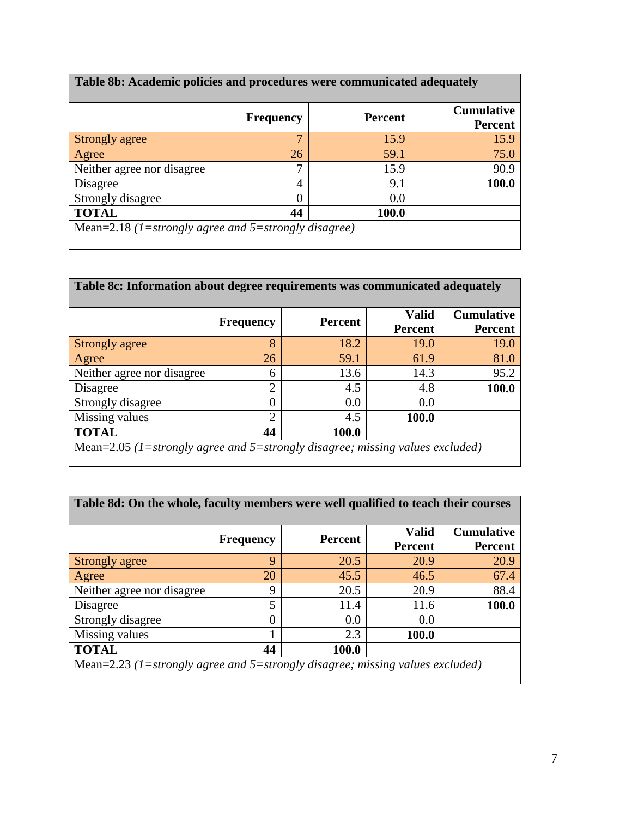| Table 8b: Academic policies and procedures were communicated adequately |                  |                |                                     |  |  |  |  |
|-------------------------------------------------------------------------|------------------|----------------|-------------------------------------|--|--|--|--|
|                                                                         | <b>Frequency</b> | <b>Percent</b> | <b>Cumulative</b><br><b>Percent</b> |  |  |  |  |
| Strongly agree                                                          | 7                | 15.9           | 15.9                                |  |  |  |  |
| Agree                                                                   | 26               | 59.1           | 75.0                                |  |  |  |  |
| Neither agree nor disagree                                              | $\mathcal{I}$    | 15.9           | 90.9                                |  |  |  |  |
| Disagree                                                                | 4                | 9.1            | 100.0                               |  |  |  |  |
| Strongly disagree                                                       | 0                | 0.0            |                                     |  |  |  |  |
| <b>TOTAL</b><br>44<br>100.0                                             |                  |                |                                     |  |  |  |  |
| Mean=2.18 (1=strongly agree and 5=strongly disagree)                    |                  |                |                                     |  |  |  |  |

| Table 8c: Information about degree requirements was communicated adequately   |                  |                |                                |                                     |  |
|-------------------------------------------------------------------------------|------------------|----------------|--------------------------------|-------------------------------------|--|
|                                                                               | <b>Frequency</b> | <b>Percent</b> | <b>Valid</b><br><b>Percent</b> | <b>Cumulative</b><br><b>Percent</b> |  |
| Strongly agree                                                                | 8                | 18.2           | 19.0                           | 19.0                                |  |
| Agree                                                                         | 26               | 59.1           | 61.9                           | 81.0                                |  |
| Neither agree nor disagree                                                    | 6                | 13.6           | 14.3                           | 95.2                                |  |
| Disagree                                                                      | $\overline{2}$   | 4.5            | 4.8                            | 100.0                               |  |
| Strongly disagree                                                             | 0                | 0.0            | 0.0                            |                                     |  |
| Missing values                                                                | $\overline{2}$   | 4.5            | 100.0                          |                                     |  |
| <b>TOTAL</b>                                                                  | 44               | 100.0          |                                |                                     |  |
| Mean=2.05 (1=strongly agree and 5=strongly disagree; missing values excluded) |                  |                |                                |                                     |  |

| Table 8d: On the whole, faculty members were well qualified to teach their courses |                  |                |                                |                                     |  |  |  |
|------------------------------------------------------------------------------------|------------------|----------------|--------------------------------|-------------------------------------|--|--|--|
|                                                                                    | <b>Frequency</b> | <b>Percent</b> | <b>Valid</b><br><b>Percent</b> | <b>Cumulative</b><br><b>Percent</b> |  |  |  |
| Strongly agree                                                                     | 9                | 20.5           | 20.9                           | 20.9                                |  |  |  |
| Agree                                                                              | 20               | 45.5           | 46.5                           | 67.4                                |  |  |  |
| Neither agree nor disagree                                                         | 9                | 20.5           | 20.9                           | 88.4                                |  |  |  |
| Disagree                                                                           | 5                | 11.4           | 11.6                           | 100.0                               |  |  |  |
| Strongly disagree                                                                  | $\Omega$         | 0.0            | 0.0                            |                                     |  |  |  |
| Missing values                                                                     |                  | 2.3            | 100.0                          |                                     |  |  |  |
| <b>TOTAL</b><br>100.0<br>44                                                        |                  |                |                                |                                     |  |  |  |
| Mean=2.23 (1=strongly agree and 5=strongly disagree; missing values excluded)      |                  |                |                                |                                     |  |  |  |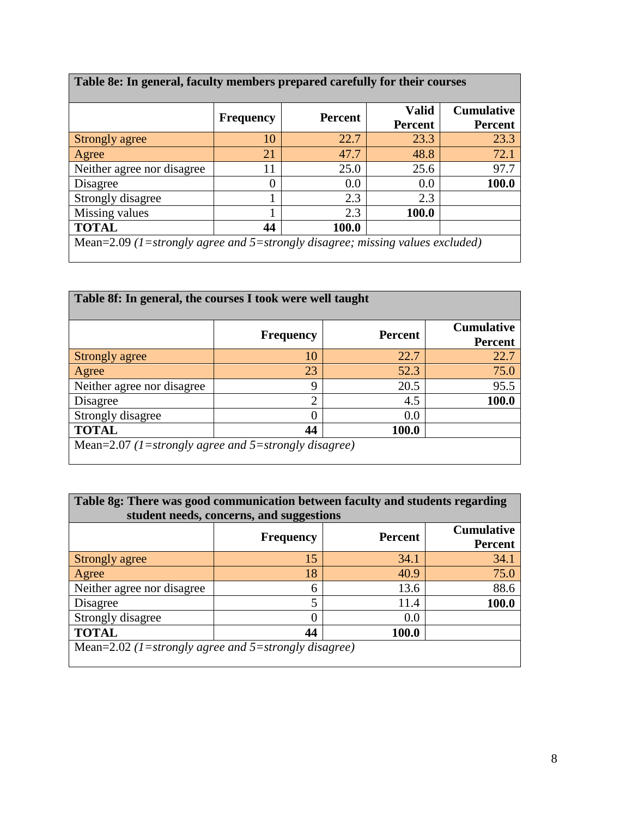|                            | <b>Percent</b><br><b>Frequency</b> | <b>Valid</b> |                | <b>Cumulative</b> |
|----------------------------|------------------------------------|--------------|----------------|-------------------|
|                            |                                    |              | <b>Percent</b> | <b>Percent</b>    |
| Strongly agree             | 10                                 | 22.7         | 23.3           | 23.3              |
| Agree                      | 21                                 | 47.7         | 48.8           | 72.1              |
| Neither agree nor disagree | 11                                 | 25.0         | 25.6           | 97.7              |
| Disagree                   |                                    | 0.0          | 0.0            | <b>100.0</b>      |
| Strongly disagree          |                                    | 2.3          | 2.3            |                   |
| Missing values             |                                    | 2.3          | 100.0          |                   |
| <b>TOTAL</b>               | 44                                 | 100.0        |                |                   |

 $\mathbf{r}$ 

| Table 8f: In general, the courses I took were well taught |                  |                |                                     |  |  |
|-----------------------------------------------------------|------------------|----------------|-------------------------------------|--|--|
|                                                           | <b>Frequency</b> | <b>Percent</b> | <b>Cumulative</b><br><b>Percent</b> |  |  |
| Strongly agree                                            | 10               | 22.7           | 22.7                                |  |  |
| <b>Agree</b>                                              | 23               | 52.3           | 75.0                                |  |  |
| Neither agree nor disagree                                | 9                | 20.5           | 95.5                                |  |  |
| Disagree                                                  | ↑                | 4.5            | 100.0                               |  |  |
| Strongly disagree                                         | 0                | 0.0            |                                     |  |  |
| <b>TOTAL</b>                                              | 44               | 100.0          |                                     |  |  |
| Mean=2.07 (1=strongly agree and 5=strongly disagree)      |                  |                |                                     |  |  |

| Table 8g: There was good communication between faculty and students regarding<br>student needs, concerns, and suggestions |    |      |       |  |  |  |  |
|---------------------------------------------------------------------------------------------------------------------------|----|------|-------|--|--|--|--|
| <b>Cumulative</b><br><b>Percent</b><br><b>Frequency</b><br><b>Percent</b>                                                 |    |      |       |  |  |  |  |
| Strongly agree                                                                                                            | 15 | 34.1 | 34.1  |  |  |  |  |
| Agree                                                                                                                     | 18 | 40.9 | 75.0  |  |  |  |  |
| Neither agree nor disagree                                                                                                | 6  | 13.6 | 88.6  |  |  |  |  |
| Disagree                                                                                                                  | 5  | 11.4 | 100.0 |  |  |  |  |
| Strongly disagree                                                                                                         | 0  | 0.0  |       |  |  |  |  |
| <b>TOTAL</b><br>44<br>100.0                                                                                               |    |      |       |  |  |  |  |
| Mean=2.02 (1=strongly agree and 5=strongly disagree)                                                                      |    |      |       |  |  |  |  |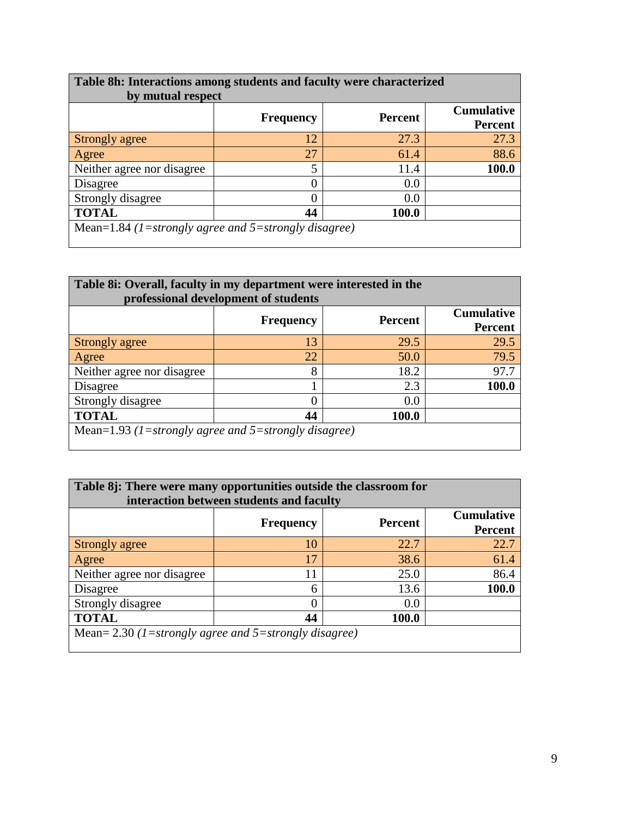| Table 8h: Interactions among students and faculty were characterized<br>by mutual respect |                  |                |                                     |  |  |
|-------------------------------------------------------------------------------------------|------------------|----------------|-------------------------------------|--|--|
|                                                                                           | <b>Frequency</b> | <b>Percent</b> | <b>Cumulative</b><br><b>Percent</b> |  |  |
| Strongly agree                                                                            | 12               | 27.3           | 27.3                                |  |  |
| Agree                                                                                     | 27               | 61.4           | 88.6                                |  |  |
| Neither agree nor disagree                                                                | 5                | 11.4           | 100.0                               |  |  |
| Disagree                                                                                  | C                | 0.0            |                                     |  |  |
| Strongly disagree                                                                         | 0                | 0.0            |                                     |  |  |
| <b>TOTAL</b>                                                                              | 44               | 100.0          |                                     |  |  |
| Mean=1.84 (1=strongly agree and 5=strongly disagree)                                      |                  |                |                                     |  |  |

| Table 8i: Overall, faculty in my department were interested in the<br>professional development of students |                  |                |                                     |  |  |
|------------------------------------------------------------------------------------------------------------|------------------|----------------|-------------------------------------|--|--|
|                                                                                                            | <b>Frequency</b> | <b>Percent</b> | <b>Cumulative</b><br><b>Percent</b> |  |  |
| Strongly agree                                                                                             | 13               | 29.5           | 29.5                                |  |  |
| <b>Agree</b>                                                                                               | 22               | 50.0           | 79.5                                |  |  |
| Neither agree nor disagree                                                                                 | 8                | 18.2           | 97.7                                |  |  |
| Disagree                                                                                                   |                  | 2.3            | 100.0                               |  |  |
| Strongly disagree                                                                                          |                  | 0.0            |                                     |  |  |
| <b>TOTAL</b>                                                                                               | 44               | 100.0          |                                     |  |  |
| Mean=1.93 (1=strongly agree and 5=strongly disagree)                                                       |                  |                |                                     |  |  |

| Table 8j: There were many opportunities outside the classroom for<br>interaction between students and faculty |                                                       |       |       |  |  |  |
|---------------------------------------------------------------------------------------------------------------|-------------------------------------------------------|-------|-------|--|--|--|
| <b>Cumulative</b><br><b>Percent</b><br><b>Frequency</b><br><b>Percent</b>                                     |                                                       |       |       |  |  |  |
| Strongly agree                                                                                                | 10                                                    | 22.7  | 22.7  |  |  |  |
| Agree                                                                                                         | 17                                                    | 38.6  | 61.4  |  |  |  |
| Neither agree nor disagree                                                                                    | 11                                                    | 25.0  | 86.4  |  |  |  |
| Disagree                                                                                                      | 6                                                     | 13.6  | 100.0 |  |  |  |
| Strongly disagree                                                                                             | 0                                                     | 0.0   |       |  |  |  |
| <b>TOTAL</b>                                                                                                  | 44                                                    | 100.0 |       |  |  |  |
|                                                                                                               | Mean= 2.30 (1=strongly agree and 5=strongly disagree) |       |       |  |  |  |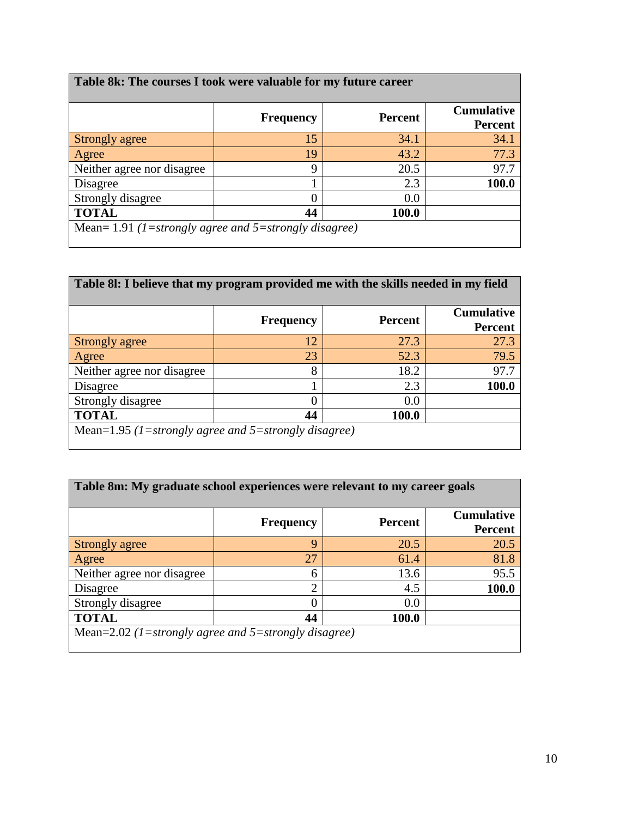| Table 8k: The courses I took were valuable for my future career |                  |                |                                     |  |  |
|-----------------------------------------------------------------|------------------|----------------|-------------------------------------|--|--|
|                                                                 | <b>Frequency</b> | <b>Percent</b> | <b>Cumulative</b><br><b>Percent</b> |  |  |
| Strongly agree                                                  | 15               | 34.1           | 34.1                                |  |  |
| Agree                                                           | 19               | 43.2           | 77.3                                |  |  |
| Neither agree nor disagree                                      | 9                | 20.5           | 97.7                                |  |  |
| Disagree                                                        |                  | 2.3            | 100.0                               |  |  |
| Strongly disagree                                               | C                | 0.0            |                                     |  |  |
| <b>TOTAL</b>                                                    | 44               | 100.0          |                                     |  |  |
| Mean= 1.91 (1=strongly agree and 5=strongly disagree)           |                  |                |                                     |  |  |

| Table 81: I believe that my program provided me with the skills needed in my field |                  |                |                                     |  |  |  |
|------------------------------------------------------------------------------------|------------------|----------------|-------------------------------------|--|--|--|
|                                                                                    | <b>Frequency</b> | <b>Percent</b> | <b>Cumulative</b><br><b>Percent</b> |  |  |  |
| Strongly agree                                                                     | 12               | 27.3           | 27.3                                |  |  |  |
| Agree                                                                              | 23               | 52.3           | 79.5                                |  |  |  |
| Neither agree nor disagree                                                         | 8                | 18.2           | 97.7                                |  |  |  |
| Disagree                                                                           |                  | 2.3            | 100.0                               |  |  |  |
| Strongly disagree                                                                  | 0                | 0.0            |                                     |  |  |  |
| <b>TOTAL</b>                                                                       | 44               | <b>100.0</b>   |                                     |  |  |  |
| Mean=1.95 (1=strongly agree and 5=strongly disagree)                               |                  |                |                                     |  |  |  |

| Table 8m: My graduate school experiences were relevant to my career goals |                  |                |                                     |  |  |  |
|---------------------------------------------------------------------------|------------------|----------------|-------------------------------------|--|--|--|
|                                                                           | <b>Frequency</b> | <b>Percent</b> | <b>Cumulative</b><br><b>Percent</b> |  |  |  |
| Strongly agree                                                            | 9                | 20.5           | 20.5                                |  |  |  |
| Agree                                                                     | 27               | 61.4           | 81.8                                |  |  |  |
| Neither agree nor disagree                                                | 6                | 13.6           | 95.5                                |  |  |  |
| Disagree                                                                  | $\mathcal{D}$    | 4.5            | 100.0                               |  |  |  |
| Strongly disagree                                                         | 0                | 0.0            |                                     |  |  |  |
| <b>TOTAL</b>                                                              | 44               | 100.0          |                                     |  |  |  |
| Mean=2.02 (1=strongly agree and 5=strongly disagree)                      |                  |                |                                     |  |  |  |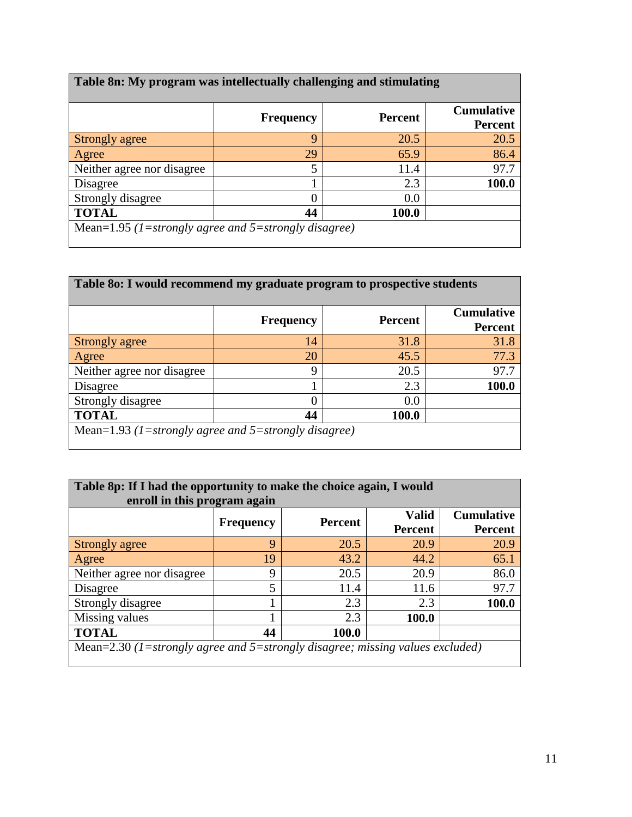| Table 8n: My program was intellectually challenging and stimulating |                  |                |                                     |  |  |
|---------------------------------------------------------------------|------------------|----------------|-------------------------------------|--|--|
|                                                                     | <b>Frequency</b> | <b>Percent</b> | <b>Cumulative</b><br><b>Percent</b> |  |  |
| <b>Strongly agree</b>                                               | 9                | 20.5           | 20.5                                |  |  |
| Agree                                                               | 29               | 65.9           | 86.4                                |  |  |
| Neither agree nor disagree                                          | 5                | 11.4           | 97.7                                |  |  |
| Disagree                                                            |                  | 2.3            | 100.0                               |  |  |
| Strongly disagree                                                   | C                | 0.0            |                                     |  |  |
| <b>TOTAL</b>                                                        | 44               | 100.0          |                                     |  |  |
| Mean=1.95 (1=strongly agree and 5=strongly disagree)                |                  |                |                                     |  |  |

| Table 80: I would recommend my graduate program to prospective students |                  |                |                                     |  |  |  |
|-------------------------------------------------------------------------|------------------|----------------|-------------------------------------|--|--|--|
|                                                                         | <b>Frequency</b> | <b>Percent</b> | <b>Cumulative</b><br><b>Percent</b> |  |  |  |
| Strongly agree                                                          | 14               | 31.8           | 31.8                                |  |  |  |
| Agree                                                                   | 20               | 45.5           | 77.3                                |  |  |  |
| Neither agree nor disagree                                              | 9                | 20.5           | 97.7                                |  |  |  |
| Disagree                                                                |                  | 2.3            | 100.0                               |  |  |  |
| Strongly disagree                                                       | O                | 0.0            |                                     |  |  |  |
| <b>TOTAL</b>                                                            | 44               | <b>100.0</b>   |                                     |  |  |  |
| Mean=1.93 (1=strongly agree and 5=strongly disagree)                    |                  |                |                                     |  |  |  |

| Table 8p: If I had the opportunity to make the choice again, I would<br>enroll in this program again |                  |                |                                |                                     |  |  |  |
|------------------------------------------------------------------------------------------------------|------------------|----------------|--------------------------------|-------------------------------------|--|--|--|
|                                                                                                      | <b>Frequency</b> | <b>Percent</b> | <b>Valid</b><br><b>Percent</b> | <b>Cumulative</b><br><b>Percent</b> |  |  |  |
| Strongly agree                                                                                       | 9                | 20.5           | 20.9                           | 20.9                                |  |  |  |
| Agree                                                                                                | 19               | 43.2           | 44.2                           | 65.1                                |  |  |  |
| Neither agree nor disagree                                                                           | 9                | 20.5           | 20.9                           | 86.0                                |  |  |  |
| Disagree                                                                                             | 5                | 11.4           | 11.6                           | 97.7                                |  |  |  |
| Strongly disagree                                                                                    |                  | 2.3            | 2.3                            | 100.0                               |  |  |  |
| Missing values                                                                                       |                  | 2.3            | 100.0                          |                                     |  |  |  |
| <b>TOTAL</b><br>44<br>100.0                                                                          |                  |                |                                |                                     |  |  |  |
| Mean= $2.30$ (1=strongly agree and 5=strongly disagree; missing values excluded)                     |                  |                |                                |                                     |  |  |  |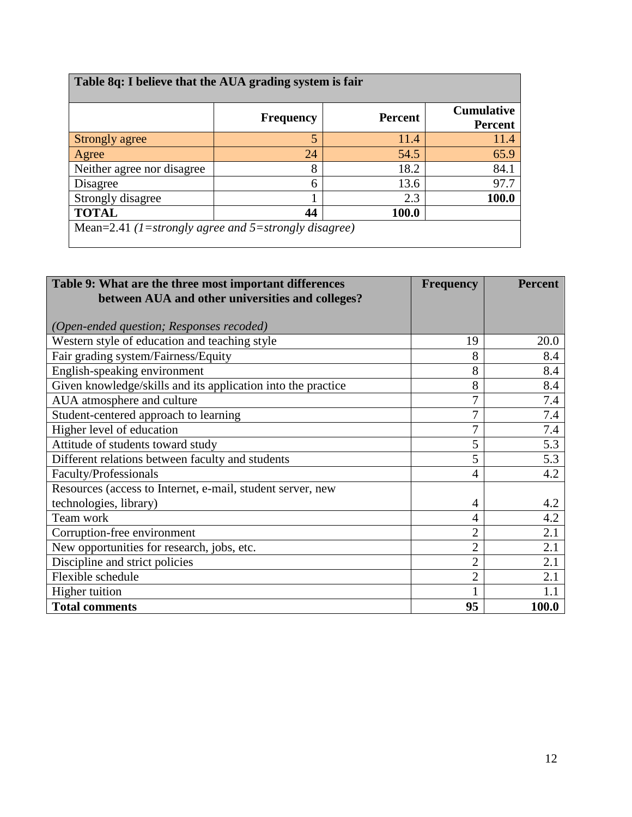| Table 8q: I believe that the AUA grading system is fair |                  |                |                                     |  |  |  |
|---------------------------------------------------------|------------------|----------------|-------------------------------------|--|--|--|
|                                                         | <b>Frequency</b> | <b>Percent</b> | <b>Cumulative</b><br><b>Percent</b> |  |  |  |
| Strongly agree                                          | 5                | 11.4           | 11.4                                |  |  |  |
| Agree                                                   | 24               | 54.5           | 65.9                                |  |  |  |
| Neither agree nor disagree                              | 8                | 18.2           | 84.1                                |  |  |  |
| Disagree                                                | 6                | 13.6           | 97.7                                |  |  |  |
| Strongly disagree                                       |                  | 2.3            | 100.0                               |  |  |  |
| <b>TOTAL</b><br>44<br>100.0                             |                  |                |                                     |  |  |  |
| Mean=2.41 (1=strongly agree and 5=strongly disagree)    |                  |                |                                     |  |  |  |

| Table 9: What are the three most important differences       | <b>Frequency</b> | <b>Percent</b> |
|--------------------------------------------------------------|------------------|----------------|
| between AUA and other universities and colleges?             |                  |                |
|                                                              |                  |                |
| (Open-ended question; Responses recoded)                     |                  |                |
| Western style of education and teaching style                | 19               | 20.0           |
| Fair grading system/Fairness/Equity                          | 8                | 8.4            |
| English-speaking environment                                 | 8                | 8.4            |
| Given knowledge/skills and its application into the practice | 8                | 8.4            |
| AUA atmosphere and culture                                   | 7                | 7.4            |
| Student-centered approach to learning                        | 7                | 7.4            |
| Higher level of education                                    | $\overline{7}$   | 7.4            |
| Attitude of students toward study                            | 5                | 5.3            |
| Different relations between faculty and students             | 5                | 5.3            |
| Faculty/Professionals                                        | 4                | 4.2            |
| Resources (access to Internet, e-mail, student server, new   |                  |                |
| technologies, library)                                       | 4                | 4.2            |
| Team work                                                    | 4                | 4.2            |
| Corruption-free environment                                  | $\overline{2}$   | 2.1            |
| New opportunities for research, jobs, etc.                   | $\overline{2}$   | 2.1            |
| Discipline and strict policies                               | $\overline{2}$   | 2.1            |
| Flexible schedule                                            | $\overline{2}$   | 2.1            |
| Higher tuition                                               |                  | 1.1            |
| <b>Total comments</b>                                        | 95               | 100.0          |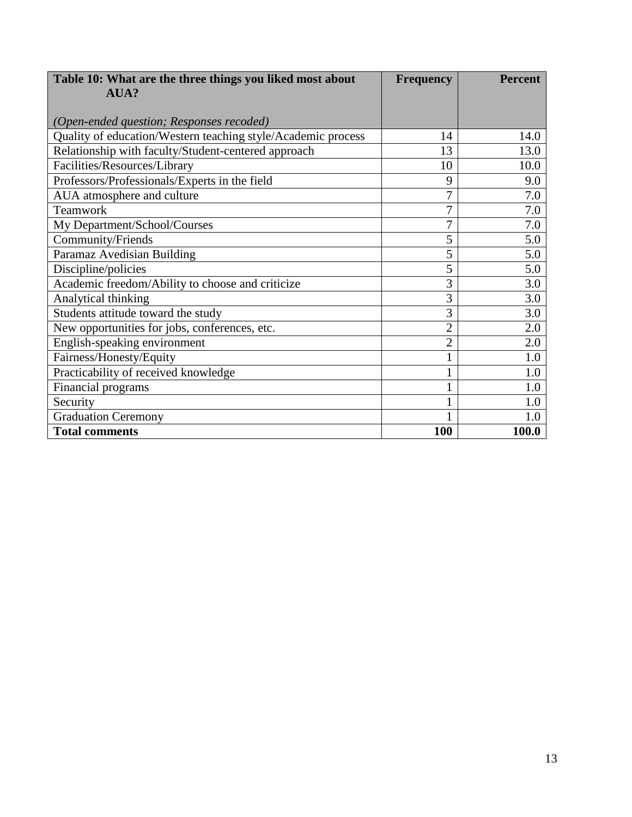| Table 10: What are the three things you liked most about     | <b>Frequency</b> | <b>Percent</b> |
|--------------------------------------------------------------|------------------|----------------|
| AUA?                                                         |                  |                |
|                                                              |                  |                |
| (Open-ended question; Responses recoded)                     |                  |                |
| Quality of education/Western teaching style/Academic process | 14               | 14.0           |
| Relationship with faculty/Student-centered approach          | 13               | 13.0           |
| Facilities/Resources/Library                                 | 10               | 10.0           |
| Professors/Professionals/Experts in the field                | 9                | 9.0            |
| AUA atmosphere and culture                                   | 7                | 7.0            |
| Teamwork                                                     | 7                | 7.0            |
| My Department/School/Courses                                 | $\overline{7}$   | 7.0            |
| Community/Friends                                            | 5                | 5.0            |
| Paramaz Avedisian Building                                   | 5                | 5.0            |
| Discipline/policies                                          | 5                | 5.0            |
| Academic freedom/Ability to choose and criticize             | 3                | 3.0            |
| Analytical thinking                                          | 3                | 3.0            |
| Students attitude toward the study                           | 3                | 3.0            |
| New opportunities for jobs, conferences, etc.                | $\overline{2}$   | 2.0            |
| English-speaking environment                                 | $\overline{2}$   | 2.0            |
| Fairness/Honesty/Equity                                      |                  | 1.0            |
| Practicability of received knowledge                         |                  | 1.0            |
| Financial programs                                           |                  | 1.0            |
| Security                                                     |                  | 1.0            |
| <b>Graduation Ceremony</b>                                   |                  | 1.0            |
| <b>Total comments</b>                                        | 100              | 100.0          |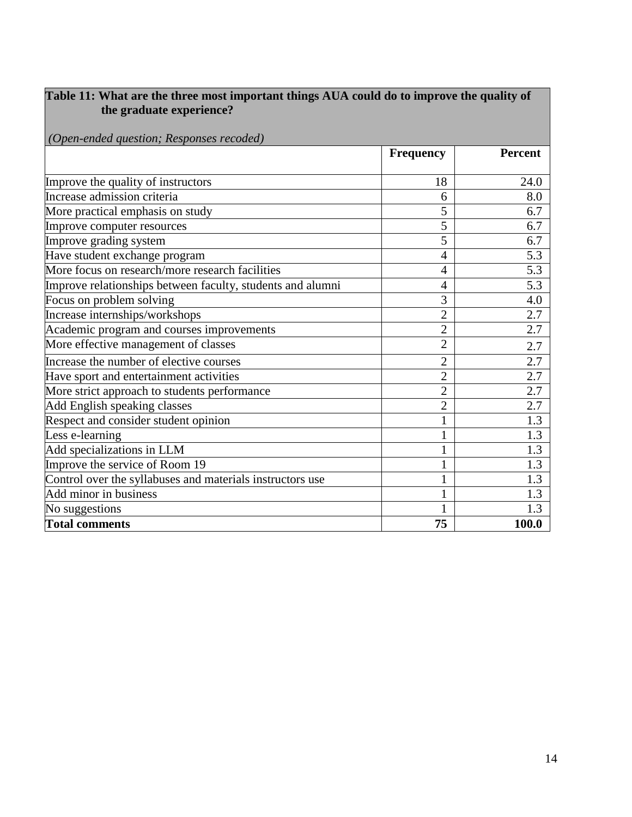#### **Table 11: What are the three most important things AUA could do to improve the quality of**  *EXECUTE:* the graduate experience?

|  |  | (Open-ended question; Responses recoded) |  |
|--|--|------------------------------------------|--|
|  |  |                                          |  |

|                                                            | <b>Frequency</b> | <b>Percent</b> |
|------------------------------------------------------------|------------------|----------------|
| Improve the quality of instructors                         | 18               | 24.0           |
| Increase admission criteria                                | 6                | 8.0            |
|                                                            |                  |                |
| More practical emphasis on study                           | 5                | 6.7            |
| Improve computer resources                                 | 5                | 6.7            |
| Improve grading system                                     | 5                | 6.7            |
| Have student exchange program                              | $\overline{4}$   | 5.3            |
| More focus on research/more research facilities            | 4                | 5.3            |
| Improve relationships between faculty, students and alumni | 4                | 5.3            |
| Focus on problem solving                                   | 3                | 4.0            |
| Increase internships/workshops                             | $\overline{2}$   | 2.7            |
| Academic program and courses improvements                  | $\overline{2}$   | 2.7            |
| More effective management of classes                       | $\overline{2}$   | 2.7            |
| Increase the number of elective courses                    | $\overline{2}$   | 2.7            |
| Have sport and entertainment activities                    | $\overline{2}$   | 2.7            |
| More strict approach to students performance               | $\overline{2}$   | 2.7            |
| Add English speaking classes                               | $\overline{2}$   | 2.7            |
| Respect and consider student opinion                       |                  | 1.3            |
| Less e-learning                                            |                  | 1.3            |
| Add specializations in LLM                                 |                  | 1.3            |
| Improve the service of Room 19                             |                  | 1.3            |
| Control over the syllabuses and materials instructors use  |                  | 1.3            |
| Add minor in business                                      |                  | 1.3            |
| No suggestions                                             |                  | 1.3            |
| <b>Total comments</b>                                      | 75               | 100.0          |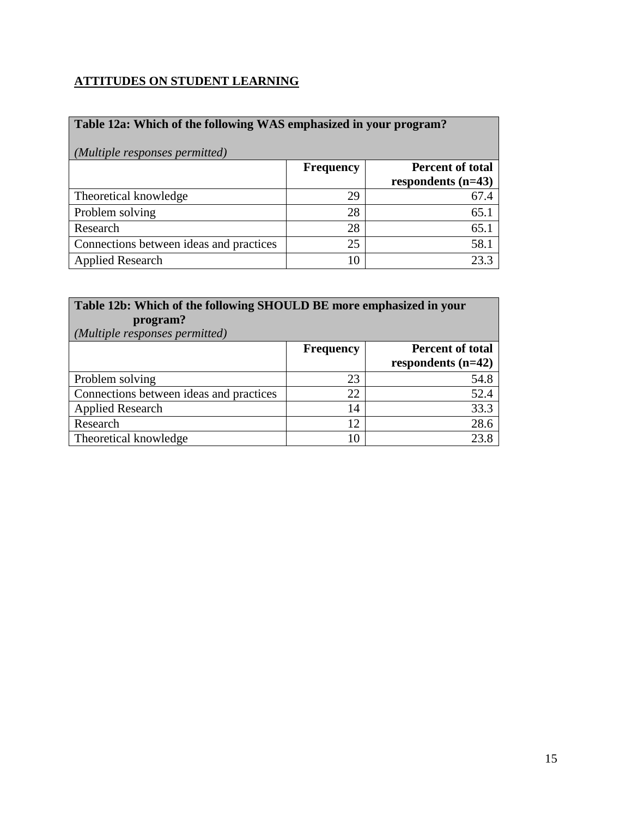## **ATTITUDES ON STUDENT LEARNING**

| Table 12a: Which of the following WAS emphasized in your program?<br>(Multiple responses permitted) |                  |                         |  |  |
|-----------------------------------------------------------------------------------------------------|------------------|-------------------------|--|--|
|                                                                                                     | <b>Frequency</b> | <b>Percent of total</b> |  |  |
|                                                                                                     |                  | respondents $(n=43)$    |  |  |
| Theoretical knowledge                                                                               | 29               | 67.4                    |  |  |
| Problem solving                                                                                     | 28               | 65.1                    |  |  |
| Research                                                                                            | 28               | 65.1                    |  |  |
| Connections between ideas and practices                                                             | 25               | 58.1                    |  |  |
| <b>Applied Research</b>                                                                             | 10               | 23.3                    |  |  |

| Table 12b: Which of the following SHOULD BE more emphasized in your<br>program?<br>(Multiple responses permitted) |                  |                                                 |  |  |
|-------------------------------------------------------------------------------------------------------------------|------------------|-------------------------------------------------|--|--|
|                                                                                                                   | <b>Frequency</b> | <b>Percent of total</b><br>respondents $(n=42)$ |  |  |
|                                                                                                                   |                  |                                                 |  |  |
| Problem solving                                                                                                   | 23               | 54.8                                            |  |  |
| Connections between ideas and practices                                                                           | 22               | 52.4                                            |  |  |
| <b>Applied Research</b>                                                                                           | 14               | 33.3                                            |  |  |
| Research                                                                                                          | 12               | 28.6                                            |  |  |
| Theoretical knowledge                                                                                             | 10               | 23.8                                            |  |  |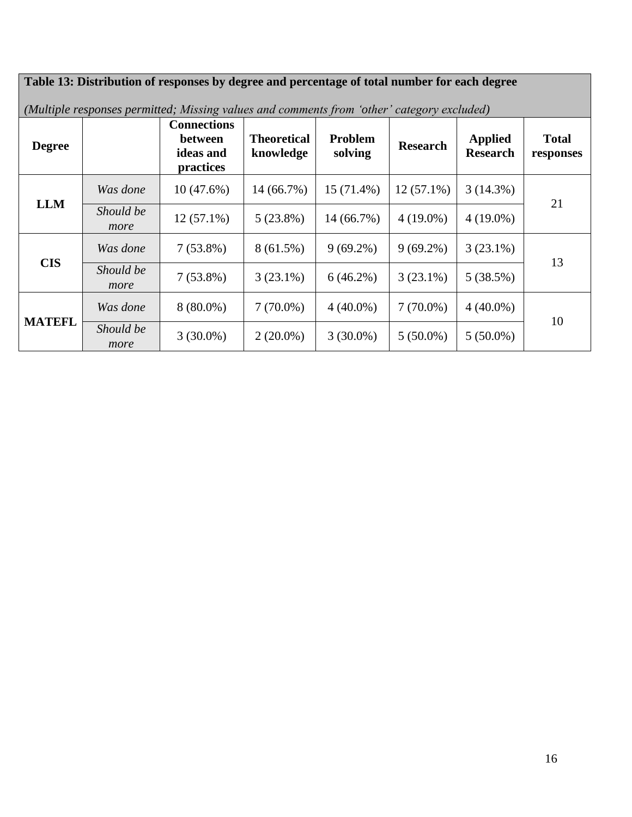#### **Table 13: Distribution of responses by degree and percentage of total number for each degree** *(Multiple responses permitted; Missing values and comments from 'other' category excluded)* **Degree Connections between ideas and practices Theoretical knowledge Problem Problem** Research **Applied**<br> **Research** Research **Total responses LLM** *Was done* | 10 (47.6%) | 14 (66.7%) | 15 (71.4%) | 12 (57.1%) | 3 (14.3%) Should be  $\frac{21}{2(57.1\%)}$   $\frac{5(23.8\%)}{24(56.7\%)}$   $\frac{14(56.7\%)}{24(10.0\%)}$   $\frac{4(10.0\%)}{24(10.0\%)}$ *more*  $12 (57.1\%)$  |  $5 (23.8\%)$  |  $14 (66.7\%)$  |  $4 (19.0\%)$  |  $4 (19.0\%)$ **CIS** *Was done* | 7 (53.8%) | 8 (61.5%) | 9 (69.2%) | 9 (69.2%) | 3 (23.1%) Should be  $\frac{13}{2(52.8\%)}$   $\frac{2(23.1\%)}{2(23.1\%)}$   $\frac{6(46.2\%)}{2(23.1\%)}$   $\frac{5(28.5\%)}{(29.5\%)}$  13 *more*  $7 (53.8\%)$   $\begin{array}{|c|c|c|c|c|c|} \hline 3 (23.1\%) & 6 (46.2\%) & 3 (23.1\%) & 5 (38.5\%) \hline \end{array}$ **MATEFL** *Was done* | 8 (80.0%) | 7 (70.0%) | 4 (40.0%) | 7 (70.0%) | 4 (40.0%)  $\begin{array}{|c|c|c|c|c|c|}\n \hline \text{Should be} & 2.6200\% & 2.6200\% & 2.6200\% & 5.6500\% & 5.6500\% & 5.6500\% & 5.6500\% & 5.6500\% & 5.6500\% & 5.6500\% & 5.6500\% & 5.6500\% & 5.6500\% & 5.6500\% & 5.6500\% & 5.6500\% & 5.6500\% & 5.6500\% & 5.6500\% &$ *more*  $3(30.0\%)$   $\begin{array}{|c|c|c|c|c|c|c|c|c|} \hline 3(30.0\%) & 5(50.0\%) & 5(50.0\%) \hline \end{array}$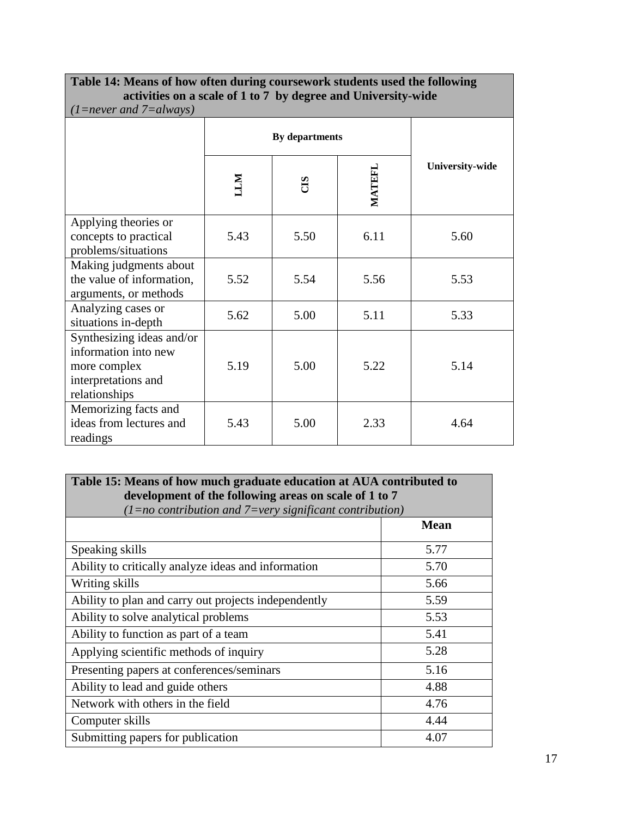#### **Table 14: Means of how often during coursework students used the following activities on a scale of 1 to 7 by degree and University-wide** *(1=never and 7=always)* **By departments University-wide LLM CIS MATEFL** Applying theories or concepts to practical problems/situations 5.43 | 5.50 | 6.11 | 5.60 Making judgments about the value of information, arguments, or methods 5.52 | 5.54 | 5.56 | 5.53 Analyzing cases or  $\begin{array}{c|c|c|c|c|c|c|c|c} \text{Anayzing cases of} & 5.62 & 5.00 & 5.11 & 5.33 \end{array}$ Synthesizing ideas and/or information into new more complex interpretations and relationships 5.19 | 5.00 | 5.22 | 5.14 Memorizing facts and ideas from lectures and readings 5.43 5.00 2.33 4.64

# **Table 15: Means of how much graduate education at AUA contributed to development of the following areas on scale of 1 to 7**

| $(1 = no$ contribution and $7 = very$ significant contribution) |      |  |
|-----------------------------------------------------------------|------|--|
|                                                                 | Mean |  |
| Speaking skills                                                 | 5.77 |  |
| Ability to critically analyze ideas and information             | 5.70 |  |
| Writing skills                                                  | 5.66 |  |
| Ability to plan and carry out projects independently            | 5.59 |  |
| Ability to solve analytical problems                            | 5.53 |  |
| Ability to function as part of a team                           | 5.41 |  |
| Applying scientific methods of inquiry                          | 5.28 |  |
| Presenting papers at conferences/seminars                       | 5.16 |  |
| Ability to lead and guide others                                | 4.88 |  |
| Network with others in the field                                | 4.76 |  |
| Computer skills                                                 | 4.44 |  |
| Submitting papers for publication                               | 4.07 |  |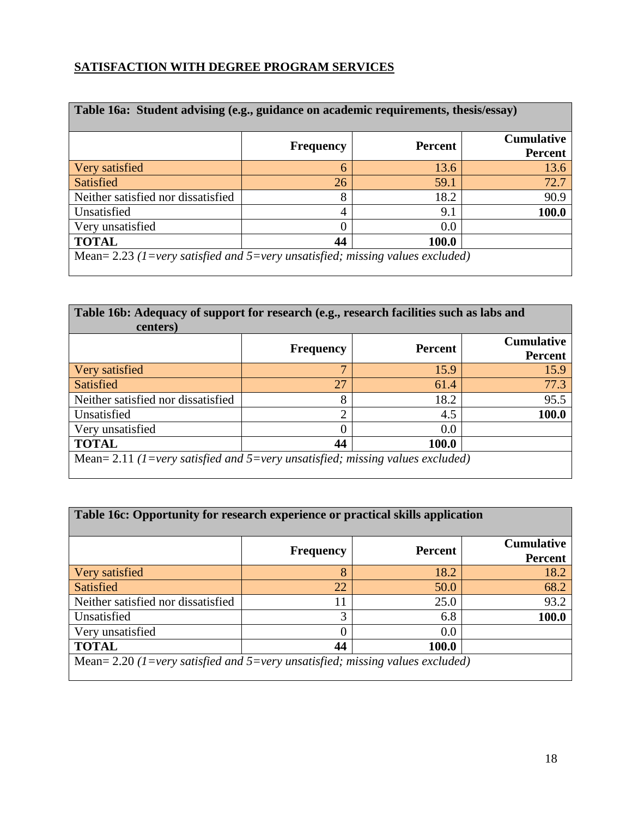## **SATISFACTION WITH DEGREE PROGRAM SERVICES**

| Table 16a: Student advising (e.g., guidance on academic requirements, thesis/essay) |                  |                |                                     |  |  |  |  |
|-------------------------------------------------------------------------------------|------------------|----------------|-------------------------------------|--|--|--|--|
|                                                                                     | <b>Frequency</b> | <b>Percent</b> | <b>Cumulative</b><br><b>Percent</b> |  |  |  |  |
| Very satisfied                                                                      | 6                | 13.6           | 13.6                                |  |  |  |  |
| <b>Satisfied</b>                                                                    | 26               | 59.1           | 72.7                                |  |  |  |  |
| Neither satisfied nor dissatisfied                                                  | 8                | 18.2           | 90.9                                |  |  |  |  |
| Unsatisfied                                                                         | 4                | 9.1            | 100.0                               |  |  |  |  |
| Very unsatisfied                                                                    |                  | 0.0            |                                     |  |  |  |  |
| <b>TOTAL</b><br>44<br>100.0                                                         |                  |                |                                     |  |  |  |  |
| Mean= 2.23 (1=very satisfied and 5=very unsatisfied; missing values excluded)       |                  |                |                                     |  |  |  |  |

| Table 16b: Adequacy of support for research (e.g., research facilities such as labs and<br>centers) |              |      |       |  |  |  |  |
|-----------------------------------------------------------------------------------------------------|--------------|------|-------|--|--|--|--|
| <b>Cumulative</b><br>Percent<br><b>Frequency</b><br><b>Percent</b>                                  |              |      |       |  |  |  |  |
| Very satisfied                                                                                      | $\mathbf{r}$ | 15.9 | 15.9  |  |  |  |  |
| <b>Satisfied</b>                                                                                    | 27           | 61.4 | 77.3  |  |  |  |  |
| Neither satisfied nor dissatisfied                                                                  | 8            | 18.2 | 95.5  |  |  |  |  |
| Unsatisfied                                                                                         | ◠            | 4.5  | 100.0 |  |  |  |  |
| Very unsatisfied                                                                                    | 0.0          |      |       |  |  |  |  |
| <b>TOTAL</b><br>44<br>100.0                                                                         |              |      |       |  |  |  |  |
| Mean= 2.11 (1=very satisfied and 5=very unsatisfied; missing values excluded)                       |              |      |       |  |  |  |  |

| Table 16c: Opportunity for research experience or practical skills application  |    |      |       |  |  |  |  |
|---------------------------------------------------------------------------------|----|------|-------|--|--|--|--|
| <b>Cumulative</b><br><b>Percent</b><br><b>Frequency</b><br><b>Percent</b>       |    |      |       |  |  |  |  |
| Very satisfied                                                                  | 8  | 18.2 | 18.2  |  |  |  |  |
| Satisfied                                                                       | 22 | 50.0 | 68.2  |  |  |  |  |
| Neither satisfied nor dissatisfied                                              | 11 | 25.0 | 93.2  |  |  |  |  |
| Unsatisfied                                                                     | 3  | 6.8  | 100.0 |  |  |  |  |
| Very unsatisfied<br>0.0                                                         |    |      |       |  |  |  |  |
| <b>TOTAL</b><br>44<br>100.0                                                     |    |      |       |  |  |  |  |
| Mean= $2.20$ (1=very satisfied and 5=very unsatisfied; missing values excluded) |    |      |       |  |  |  |  |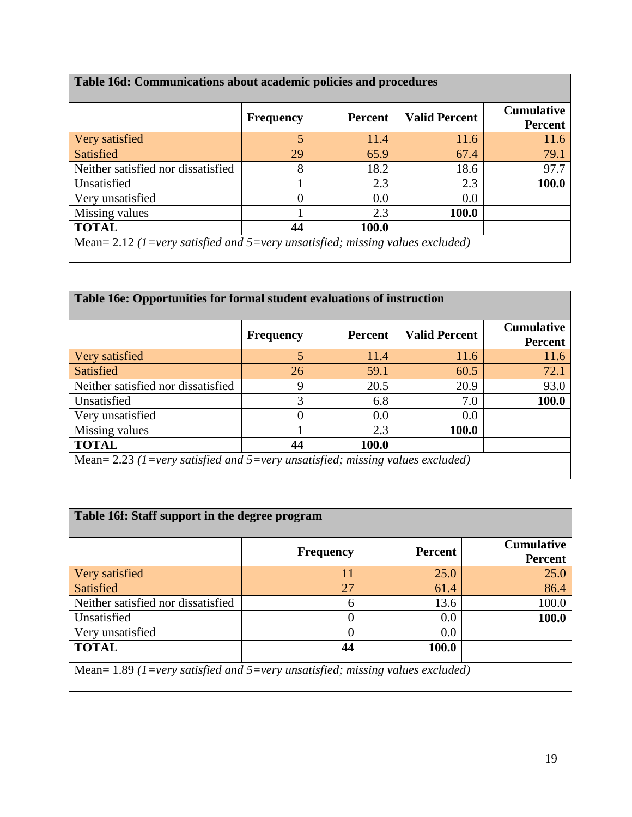| Table 16d: Communications about academic policies and procedures              |                  |                |                      |                                     |  |  |
|-------------------------------------------------------------------------------|------------------|----------------|----------------------|-------------------------------------|--|--|
|                                                                               | <b>Frequency</b> | <b>Percent</b> | <b>Valid Percent</b> | <b>Cumulative</b><br><b>Percent</b> |  |  |
| Very satisfied                                                                | 5                | 11.4           | 11.6                 | 11.6                                |  |  |
| <b>Satisfied</b>                                                              | 29               | 65.9           | 67.4                 | 79.1                                |  |  |
| Neither satisfied nor dissatisfied                                            | 8                | 18.2           | 18.6                 | 97.7                                |  |  |
| Unsatisfied                                                                   |                  | 2.3            | 2.3                  | <b>100.0</b>                        |  |  |
| Very unsatisfied                                                              | $\left( \right)$ | 0.0            | 0.0                  |                                     |  |  |
| Missing values                                                                |                  | 2.3            | 100.0                |                                     |  |  |
| <b>TOTAL</b><br>44<br>100.0                                                   |                  |                |                      |                                     |  |  |
| Mean= 2.12 (1=very satisfied and 5=very unsatisfied; missing values excluded) |                  |                |                      |                                     |  |  |

| Table 16e: Opportunities for formal student evaluations of instruction        |                  |                |                      |                                     |  |
|-------------------------------------------------------------------------------|------------------|----------------|----------------------|-------------------------------------|--|
|                                                                               | <b>Frequency</b> | <b>Percent</b> | <b>Valid Percent</b> | <b>Cumulative</b><br><b>Percent</b> |  |
| Very satisfied                                                                | 5                | 11.4           | 11.6                 | 11.6                                |  |
| Satisfied                                                                     | 26               | 59.1           | 60.5                 | 72.1                                |  |
| Neither satisfied nor dissatisfied                                            | 9                | 20.5           | 20.9                 | 93.0                                |  |
| Unsatisfied                                                                   | 3                | 6.8            | 7.0                  | 100.0                               |  |
| Very unsatisfied                                                              | 0                | 0.0            | 0.0                  |                                     |  |
| Missing values                                                                |                  | 2.3            | 100.0                |                                     |  |
| <b>TOTAL</b>                                                                  | 44               | 100.0          |                      |                                     |  |
| Mean= 2.23 (1=very satisfied and 5=very unsatisfied; missing values excluded) |                  |                |                      |                                     |  |

|                                    | <b>Frequency</b> | <b>Percent</b> | <b>Cumulative</b><br><b>Percent</b> |
|------------------------------------|------------------|----------------|-------------------------------------|
| Very satisfied                     | 11               | 25.0           | 25.0                                |
| Satisfied                          | 27               | 61.4           | 86.4                                |
| Neither satisfied nor dissatisfied | 6                | 13.6           | 100.0                               |
| Unsatisfied                        | 0                | 0.0            | 100.0                               |
| Very unsatisfied                   | 0                | 0.0            |                                     |
| <b>TOTAL</b>                       | 44               | 100.0          |                                     |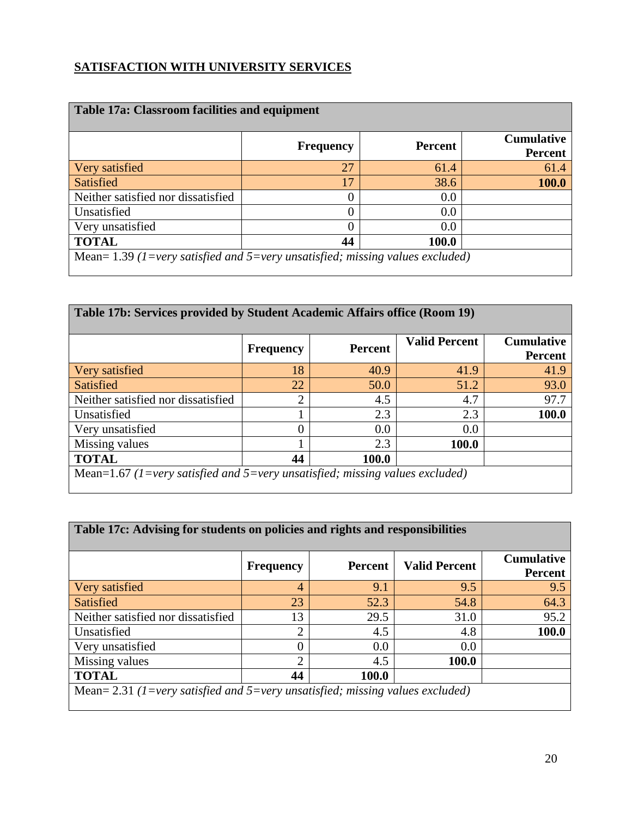## **SATISFACTION WITH UNIVERSITY SERVICES**

| <b>Table 17a: Classroom facilities and equipment</b>                            |                  |                |                                     |  |  |
|---------------------------------------------------------------------------------|------------------|----------------|-------------------------------------|--|--|
|                                                                                 | <b>Frequency</b> | <b>Percent</b> | <b>Cumulative</b><br><b>Percent</b> |  |  |
| Very satisfied                                                                  | 27               | 61.4           | 61.4                                |  |  |
| Satisfied                                                                       | 17               | 38.6           | 100.0                               |  |  |
| Neither satisfied nor dissatisfied                                              | 0                | 0.0            |                                     |  |  |
| Unsatisfied                                                                     | 0                | 0.0            |                                     |  |  |
| Very unsatisfied                                                                | 0                | 0.0            |                                     |  |  |
| <b>TOTAL</b>                                                                    | 44               | 100.0          |                                     |  |  |
| Mean= $1.39$ (1=very satisfied and 5=very unsatisfied; missing values excluded) |                  |                |                                     |  |  |

| Table 17b: Services provided by Student Academic Affairs office (Room 19)    |                  |                |                      |                                     |  |
|------------------------------------------------------------------------------|------------------|----------------|----------------------|-------------------------------------|--|
|                                                                              | <b>Frequency</b> | <b>Percent</b> | <b>Valid Percent</b> | <b>Cumulative</b><br><b>Percent</b> |  |
| Very satisfied                                                               | 18               | 40.9           | 41.9                 | 41.9                                |  |
| Satisfied                                                                    | 22               | 50.0           | 51.2                 | 93.0                                |  |
| Neither satisfied nor dissatisfied                                           | $\overline{2}$   | 4.5            | 4.7                  | 97.7                                |  |
| Unsatisfied                                                                  |                  | 2.3            | 2.3                  | 100.0                               |  |
| Very unsatisfied                                                             | 0                | 0.0            | 0.0                  |                                     |  |
| Missing values                                                               |                  | 2.3            | 100.0                |                                     |  |
| <b>TOTAL</b>                                                                 | 44               | 100.0          |                      |                                     |  |
| Mean=1.67 (1=very satisfied and 5=very unsatisfied; missing values excluded) |                  |                |                      |                                     |  |

| Table 17c: Advising for students on policies and rights and responsibilities  |                  |         |                      |                                     |  |
|-------------------------------------------------------------------------------|------------------|---------|----------------------|-------------------------------------|--|
|                                                                               | <b>Frequency</b> | Percent | <b>Valid Percent</b> | <b>Cumulative</b><br><b>Percent</b> |  |
| Very satisfied                                                                | 4                | 9.1     | 9.5                  | 9.5                                 |  |
| <b>Satisfied</b>                                                              | 23               | 52.3    | 54.8                 | 64.3                                |  |
| Neither satisfied nor dissatisfied                                            | 13               | 29.5    | 31.0                 | 95.2                                |  |
| Unsatisfied                                                                   | っ                | 4.5     | 4.8                  | 100.0                               |  |
| Very unsatisfied                                                              | 0                | 0.0     | 0.0                  |                                     |  |
| Missing values                                                                | $\overline{2}$   | 4.5     | 100.0                |                                     |  |
| <b>TOTAL</b>                                                                  | 44               | 100.0   |                      |                                     |  |
| Mean= 2.31 (1=very satisfied and 5=very unsatisfied; missing values excluded) |                  |         |                      |                                     |  |

 $\overline{\phantom{a}}$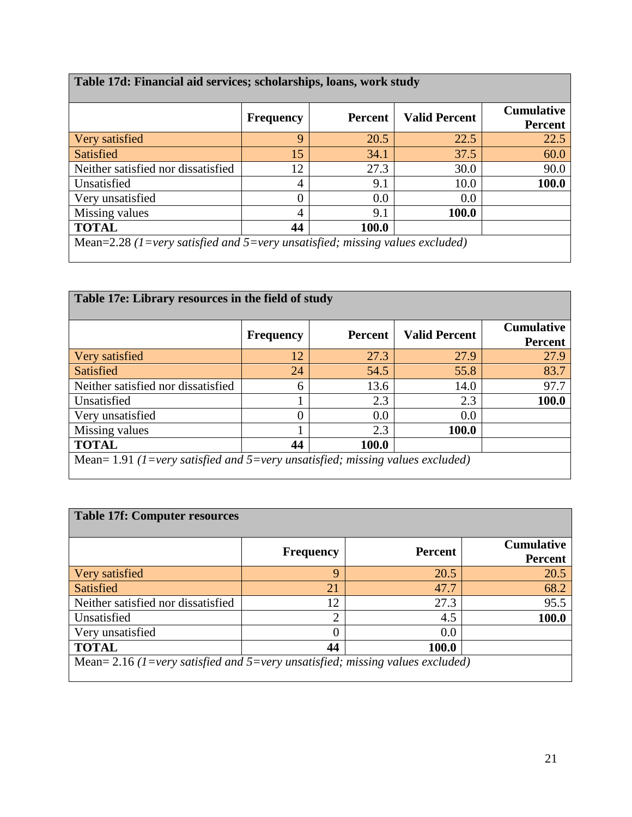| Table 17d: Financial aid services; scholarships, loans, work study           |                  |                |                      |                                     |  |
|------------------------------------------------------------------------------|------------------|----------------|----------------------|-------------------------------------|--|
|                                                                              | <b>Frequency</b> | <b>Percent</b> | <b>Valid Percent</b> | <b>Cumulative</b><br><b>Percent</b> |  |
| Very satisfied                                                               | 9                | 20.5           | 22.5                 | 22.5                                |  |
| Satisfied                                                                    | 15               | 34.1           | 37.5                 | 60.0                                |  |
| Neither satisfied nor dissatisfied                                           | 12               | 27.3           | 30.0                 | 90.0                                |  |
| Unsatisfied                                                                  | 4                | 9.1            | 10.0                 | 100.0                               |  |
| Very unsatisfied                                                             | 0                | 0.0            | 0.0                  |                                     |  |
| Missing values                                                               | 4                | 9.1            | 100.0                |                                     |  |
| <b>TOTAL</b>                                                                 | 44               | 100.0          |                      |                                     |  |
| Mean=2.28 (1=very satisfied and 5=very unsatisfied; missing values excluded) |                  |                |                      |                                     |  |

| Table 17e: Library resources in the field of study                            |                  |                |                      |                                     |  |
|-------------------------------------------------------------------------------|------------------|----------------|----------------------|-------------------------------------|--|
|                                                                               | <b>Frequency</b> | <b>Percent</b> | <b>Valid Percent</b> | <b>Cumulative</b><br><b>Percent</b> |  |
| Very satisfied                                                                | 12               | 27.3           | 27.9                 | 27.9                                |  |
| Satisfied                                                                     | 24               | 54.5           | 55.8                 | 83.7                                |  |
| Neither satisfied nor dissatisfied                                            | 6                | 13.6           | 14.0                 | 97.7                                |  |
| Unsatisfied                                                                   |                  | 2.3            | 2.3                  | 100.0                               |  |
| Very unsatisfied                                                              | 0                | 0.0            | 0.0                  |                                     |  |
| Missing values                                                                |                  | 2.3            | 100.0                |                                     |  |
| <b>TOTAL</b>                                                                  | 44               | 100.0          |                      |                                     |  |
| Mean= 1.91 (1=very satisfied and 5=very unsatisfied; missing values excluded) |                  |                |                      |                                     |  |

| <b>Table 17f: Computer resources</b>                                          |                  |                |                                     |
|-------------------------------------------------------------------------------|------------------|----------------|-------------------------------------|
|                                                                               | <b>Frequency</b> | <b>Percent</b> | <b>Cumulative</b><br><b>Percent</b> |
| Very satisfied                                                                | Q                | 20.5           | 20.5                                |
| Satisfied                                                                     | 21               | 47.7           | 68.2                                |
| Neither satisfied nor dissatisfied                                            | 12               | 27.3           | 95.5                                |
| Unsatisfied                                                                   | っ                | 4.5            | 100.0                               |
| Very unsatisfied                                                              | 0                | 0.0            |                                     |
| <b>TOTAL</b>                                                                  | 44               | 100.0          |                                     |
| Mean= 2.16 (1=very satisfied and 5=very unsatisfied; missing values excluded) |                  |                |                                     |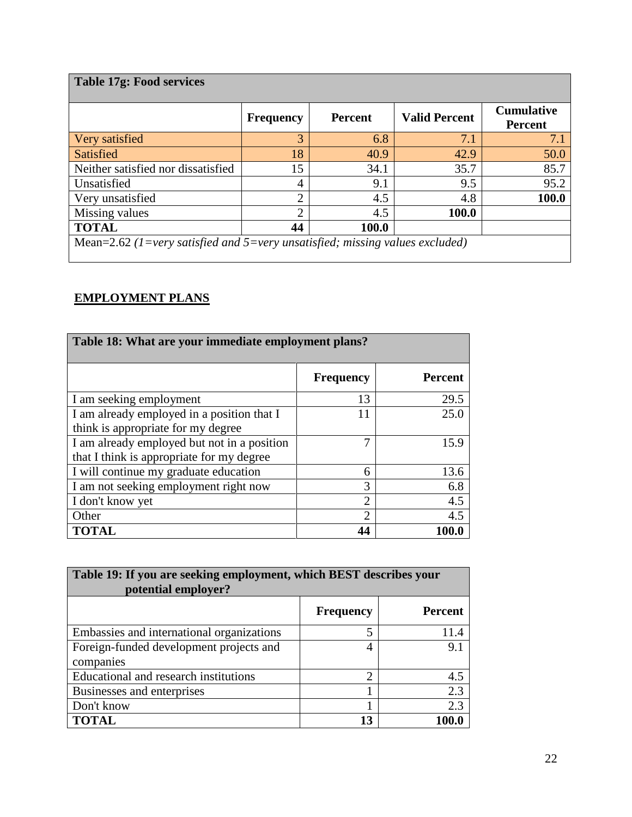| <b>Table 17g: Food services</b>                                              |                  |                |                      |                                     |
|------------------------------------------------------------------------------|------------------|----------------|----------------------|-------------------------------------|
|                                                                              | <b>Frequency</b> | <b>Percent</b> | <b>Valid Percent</b> | <b>Cumulative</b><br><b>Percent</b> |
| Very satisfied                                                               | 3                | 6.8            | 7.1                  | 7.1                                 |
| Satisfied                                                                    | 18               | 40.9           | 42.9                 | 50.0                                |
| Neither satisfied nor dissatisfied                                           | 15               | 34.1           | 35.7                 | 85.7                                |
| Unsatisfied                                                                  | 4                | 9.1            | 9.5                  | 95.2                                |
| Very unsatisfied                                                             | $\overline{2}$   | 4.5            | 4.8                  | 100.0                               |
| Missing values                                                               | $\overline{2}$   | 4.5            | 100.0                |                                     |
| <b>TOTAL</b>                                                                 | 44               | 100.0          |                      |                                     |
| Mean=2.62 (1=very satisfied and 5=very unsatisfied; missing values excluded) |                  |                |                      |                                     |

## **EMPLOYMENT PLANS**

| Table 18: What are your immediate employment plans? |                  |                |  |  |  |
|-----------------------------------------------------|------------------|----------------|--|--|--|
|                                                     | <b>Frequency</b> | <b>Percent</b> |  |  |  |
| I am seeking employment                             | 13               | 29.5           |  |  |  |
| I am already employed in a position that I          | 11               | 25.0           |  |  |  |
| think is appropriate for my degree                  |                  |                |  |  |  |
| I am already employed but not in a position         | 7                | 15.9           |  |  |  |
| that I think is appropriate for my degree           |                  |                |  |  |  |
| I will continue my graduate education               | 6                | 13.6           |  |  |  |
| I am not seeking employment right now               | 3                | 6.8            |  |  |  |
| I don't know yet                                    | $\overline{2}$   | 4.5            |  |  |  |
| Other                                               | ↑                | 4.5            |  |  |  |
| <b>TOTAL</b>                                        |                  |                |  |  |  |

| Table 19: If you are seeking employment, which BEST describes your<br>potential employer? |                  |                |  |  |
|-------------------------------------------------------------------------------------------|------------------|----------------|--|--|
|                                                                                           | <b>Frequency</b> | <b>Percent</b> |  |  |
| Embassies and international organizations                                                 | 5                | 11.4           |  |  |
| Foreign-funded development projects and                                                   | 4                | 9.1            |  |  |
| companies                                                                                 |                  |                |  |  |
| Educational and research institutions                                                     | $\overline{2}$   | 4.5            |  |  |
| Businesses and enterprises                                                                |                  | 2.3            |  |  |
| Don't know                                                                                |                  | 2.3            |  |  |
| <b>TOTAL</b>                                                                              | 13               |                |  |  |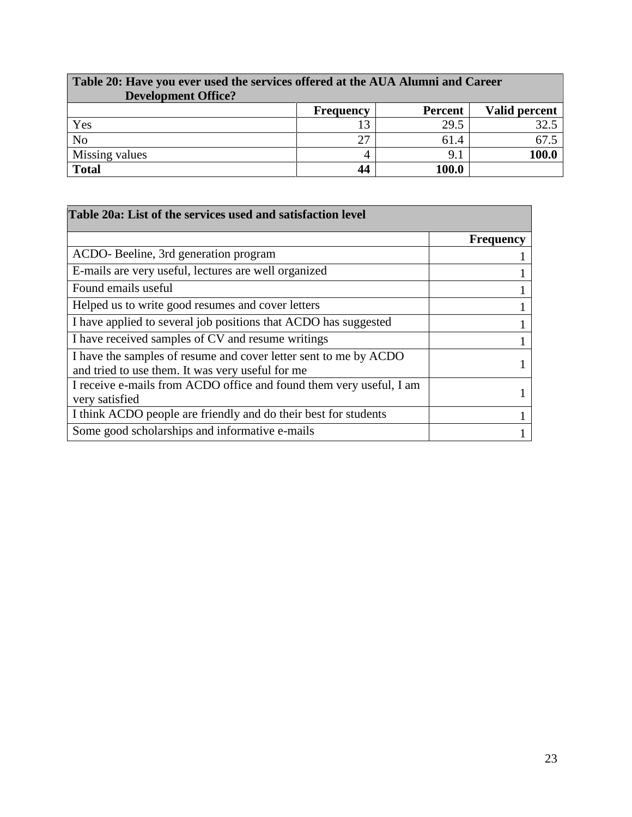| Table 20: Have you ever used the services offered at the AUA Alumni and Career<br><b>Development Office?</b> |                  |                |               |  |
|--------------------------------------------------------------------------------------------------------------|------------------|----------------|---------------|--|
|                                                                                                              | <b>Frequency</b> | <b>Percent</b> | Valid percent |  |
| Yes                                                                                                          |                  | 29.5           | 32.5          |  |
| No                                                                                                           | 27               | 61.4           | 67.5          |  |
| Missing values                                                                                               |                  | 9.1            | 100.0         |  |
| <b>Total</b>                                                                                                 | 44               | 100.0          |               |  |

 $\blacksquare$ 

| Table 20a: List of the services used and satisfaction level                                                          |                  |
|----------------------------------------------------------------------------------------------------------------------|------------------|
|                                                                                                                      | <b>Frequency</b> |
| ACDO-Beeline, 3rd generation program                                                                                 |                  |
| E-mails are very useful, lectures are well organized                                                                 |                  |
| Found emails useful                                                                                                  |                  |
| Helped us to write good resumes and cover letters                                                                    |                  |
| I have applied to several job positions that ACDO has suggested                                                      |                  |
| I have received samples of CV and resume writings                                                                    |                  |
| I have the samples of resume and cover letter sent to me by ACDO<br>and tried to use them. It was very useful for me |                  |
| I receive e-mails from ACDO office and found them very useful, I am<br>very satisfied                                |                  |
| I think ACDO people are friendly and do their best for students                                                      |                  |
| Some good scholarships and informative e-mails                                                                       |                  |

٦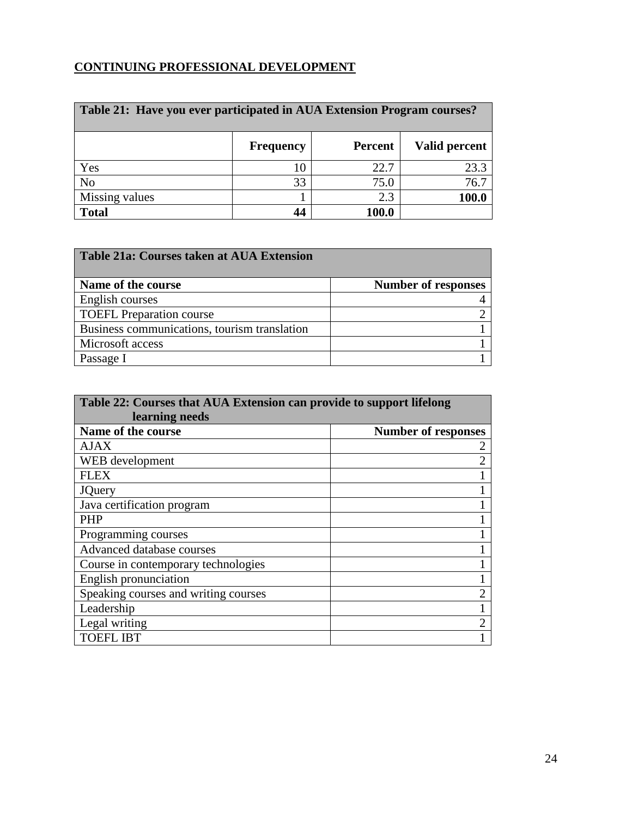## **CONTINUING PROFESSIONAL DEVELOPMENT**

| Table 21: Have you ever participated in AUA Extension Program courses? |                  |                |               |
|------------------------------------------------------------------------|------------------|----------------|---------------|
|                                                                        | <b>Frequency</b> | <b>Percent</b> | Valid percent |
| Yes                                                                    | 10               | 22.7           | 23.3          |
| N <sub>o</sub>                                                         | 33               | 75.0           | 76.7          |
| Missing values                                                         |                  | 2.3            | 100.0         |
| <b>Total</b>                                                           | 44               | 100.0          |               |

| Table 21a: Courses taken at AUA Extension    |                            |
|----------------------------------------------|----------------------------|
| Name of the course                           | <b>Number of responses</b> |
| English courses                              |                            |
| <b>TOEFL Preparation course</b>              |                            |
| Business communications, tourism translation |                            |
| Microsoft access                             |                            |
| Passage I                                    |                            |

| Table 22: Courses that AUA Extension can provide to support lifelong |                            |  |
|----------------------------------------------------------------------|----------------------------|--|
| learning needs                                                       |                            |  |
| Name of the course                                                   | <b>Number of responses</b> |  |
| AJAX                                                                 |                            |  |
| WEB development                                                      | $\overline{2}$             |  |
| <b>FLEX</b>                                                          |                            |  |
| <b>JQuery</b>                                                        |                            |  |
| Java certification program                                           |                            |  |
| <b>PHP</b>                                                           |                            |  |
| Programming courses                                                  |                            |  |
| Advanced database courses                                            |                            |  |
| Course in contemporary technologies                                  |                            |  |
| English pronunciation                                                |                            |  |
| Speaking courses and writing courses                                 |                            |  |
| Leadership                                                           |                            |  |
| Legal writing                                                        | $\mathfrak{D}$             |  |
| <b>TOEFL IBT</b>                                                     |                            |  |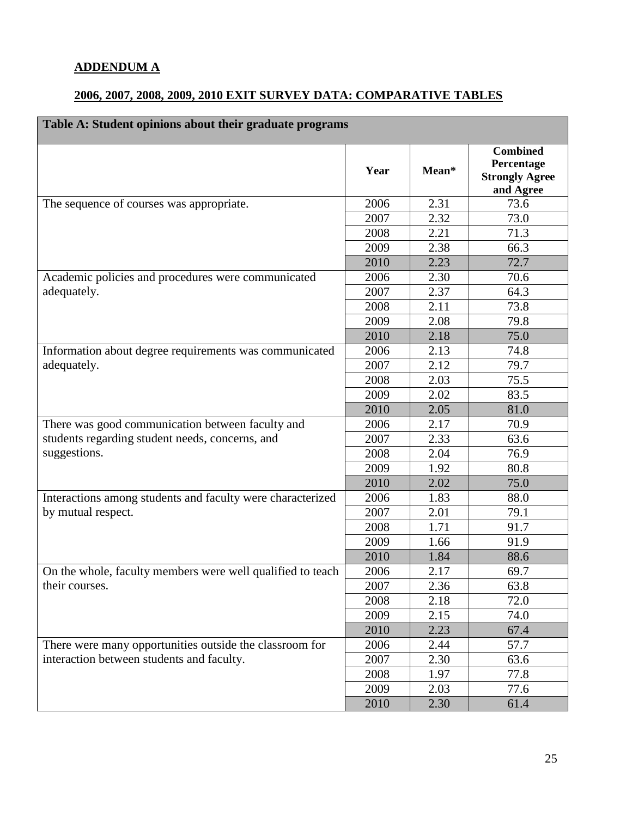### **ADDENDUM A**

## **2006, 2007, 2008, 2009, 2010 EXIT SURVEY DATA: COMPARATIVE TABLES**

| Table A: Student opinions about their graduate programs    |      |       |                                                                     |
|------------------------------------------------------------|------|-------|---------------------------------------------------------------------|
|                                                            | Year | Mean* | <b>Combined</b><br>Percentage<br><b>Strongly Agree</b><br>and Agree |
| The sequence of courses was appropriate.                   | 2006 | 2.31  | 73.6                                                                |
|                                                            | 2007 | 2.32  | 73.0                                                                |
|                                                            | 2008 | 2.21  | 71.3                                                                |
|                                                            | 2009 | 2.38  | 66.3                                                                |
|                                                            | 2010 | 2.23  | 72.7                                                                |
| Academic policies and procedures were communicated         | 2006 | 2.30  | 70.6                                                                |
| adequately.                                                | 2007 | 2.37  | 64.3                                                                |
|                                                            | 2008 | 2.11  | 73.8                                                                |
|                                                            | 2009 | 2.08  | 79.8                                                                |
|                                                            | 2010 | 2.18  | 75.0                                                                |
| Information about degree requirements was communicated     | 2006 | 2.13  | 74.8                                                                |
| adequately.                                                | 2007 | 2.12  | 79.7                                                                |
|                                                            | 2008 | 2.03  | 75.5                                                                |
|                                                            | 2009 | 2.02  | 83.5                                                                |
|                                                            | 2010 | 2.05  | 81.0                                                                |
| There was good communication between faculty and           | 2006 | 2.17  | 70.9                                                                |
| students regarding student needs, concerns, and            | 2007 | 2.33  | 63.6                                                                |
| suggestions.                                               | 2008 | 2.04  | 76.9                                                                |
|                                                            | 2009 | 1.92  | 80.8                                                                |
|                                                            | 2010 | 2.02  | 75.0                                                                |
| Interactions among students and faculty were characterized | 2006 | 1.83  | 88.0                                                                |
| by mutual respect.                                         | 2007 | 2.01  | 79.1                                                                |
|                                                            | 2008 | 1.71  | 91.7                                                                |
|                                                            | 2009 | 1.66  | 91.9                                                                |
|                                                            | 2010 | 1.84  | 88.6                                                                |
| On the whole, faculty members were well qualified to teach | 2006 | 2.17  | 69.7                                                                |
| their courses.                                             | 2007 | 2.36  | 63.8                                                                |
|                                                            | 2008 | 2.18  | 72.0                                                                |
|                                                            | 2009 | 2.15  | 74.0                                                                |
|                                                            | 2010 | 2.23  | 67.4                                                                |
| There were many opportunities outside the classroom for    | 2006 | 2.44  | 57.7                                                                |
| interaction between students and faculty.                  | 2007 | 2.30  | 63.6                                                                |
|                                                            | 2008 | 1.97  | 77.8                                                                |
|                                                            | 2009 | 2.03  | 77.6                                                                |
|                                                            | 2010 | 2.30  | 61.4                                                                |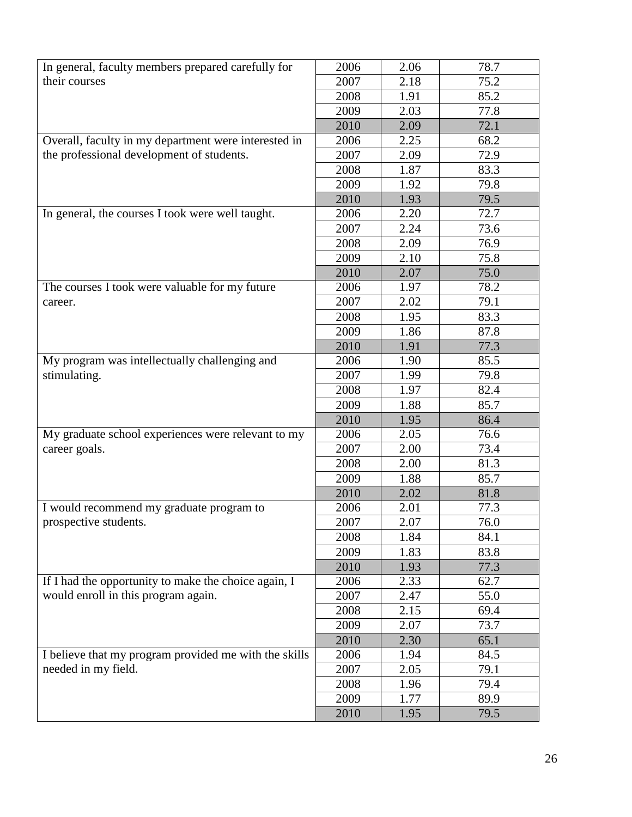| In general, faculty members prepared carefully for    | 2006 | 2.06 | 78.7 |
|-------------------------------------------------------|------|------|------|
| their courses                                         | 2007 | 2.18 | 75.2 |
|                                                       | 2008 | 1.91 | 85.2 |
|                                                       | 2009 | 2.03 | 77.8 |
|                                                       | 2010 | 2.09 | 72.1 |
| Overall, faculty in my department were interested in  | 2006 | 2.25 | 68.2 |
| the professional development of students.             | 2007 | 2.09 | 72.9 |
|                                                       | 2008 | 1.87 | 83.3 |
|                                                       | 2009 | 1.92 | 79.8 |
|                                                       | 2010 | 1.93 | 79.5 |
| In general, the courses I took were well taught.      | 2006 | 2.20 | 72.7 |
|                                                       | 2007 | 2.24 | 73.6 |
|                                                       | 2008 | 2.09 | 76.9 |
|                                                       | 2009 | 2.10 | 75.8 |
|                                                       | 2010 | 2.07 | 75.0 |
| The courses I took were valuable for my future        | 2006 | 1.97 | 78.2 |
| career.                                               | 2007 | 2.02 | 79.1 |
|                                                       | 2008 | 1.95 | 83.3 |
|                                                       | 2009 | 1.86 | 87.8 |
|                                                       | 2010 | 1.91 | 77.3 |
| My program was intellectually challenging and         | 2006 | 1.90 | 85.5 |
| stimulating.                                          | 2007 | 1.99 | 79.8 |
|                                                       | 2008 | 1.97 | 82.4 |
|                                                       | 2009 | 1.88 | 85.7 |
|                                                       | 2010 | 1.95 | 86.4 |
| My graduate school experiences were relevant to my    | 2006 | 2.05 | 76.6 |
| career goals.                                         | 2007 | 2.00 | 73.4 |
|                                                       | 2008 | 2.00 | 81.3 |
|                                                       | 2009 | 1.88 | 85.7 |
|                                                       | 2010 | 2.02 | 81.8 |
| I would recommend my graduate program to              | 2006 | 2.01 | 77.3 |
| prospective students.                                 | 2007 | 2.07 | 76.0 |
|                                                       | 2008 | 1.84 | 84.1 |
|                                                       | 2009 | 1.83 | 83.8 |
|                                                       | 2010 | 1.93 | 77.3 |
| If I had the opportunity to make the choice again, I  | 2006 | 2.33 | 62.7 |
| would enroll in this program again.                   | 2007 | 2.47 | 55.0 |
|                                                       | 2008 | 2.15 | 69.4 |
|                                                       | 2009 | 2.07 | 73.7 |
|                                                       | 2010 | 2.30 | 65.1 |
| I believe that my program provided me with the skills | 2006 | 1.94 | 84.5 |
| needed in my field.                                   | 2007 | 2.05 | 79.1 |
|                                                       | 2008 | 1.96 | 79.4 |
|                                                       | 2009 | 1.77 | 89.9 |
|                                                       | 2010 | 1.95 | 79.5 |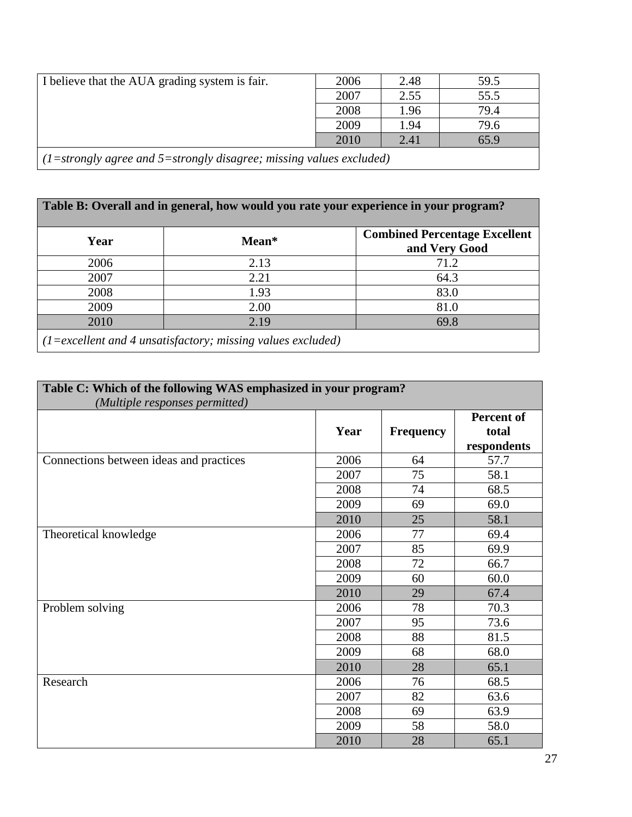| I believe that the AUA grading system is fair.                        | 2006 | 2.48 | 59.5 |
|-----------------------------------------------------------------------|------|------|------|
|                                                                       | 2007 | 2.55 | 55.5 |
|                                                                       | 2008 | 1.96 | 79.4 |
|                                                                       | 2009 | 1.94 | 79.6 |
|                                                                       | 2010 | 2.41 | 65.9 |
| $(1=strongly agree and 5=strongly disagree; missing values excluded)$ |      |      |      |

|      |                                                                        | Table B: Overall and in general, how would you rate your experience in your program? |
|------|------------------------------------------------------------------------|--------------------------------------------------------------------------------------|
| Year | Mean*                                                                  | <b>Combined Percentage Excellent</b><br>and Very Good                                |
| 2006 | 2.13                                                                   | 71.2                                                                                 |
| 2007 | 2.21                                                                   | 64.3                                                                                 |
| 2008 | 1.93                                                                   | 83.0                                                                                 |
| 2009 | 2.00                                                                   | 81.0                                                                                 |
| 2010 | 2.19                                                                   | 69.8                                                                                 |
|      | $(1 = \text{excellent}$ and 4 unsatisfactory; missing values excluded) |                                                                                      |

| Table C: Which of the following WAS emphasized in your program?<br>(Multiple responses permitted) |      |                  |                                           |
|---------------------------------------------------------------------------------------------------|------|------------------|-------------------------------------------|
|                                                                                                   | Year | <b>Frequency</b> | <b>Percent of</b><br>total<br>respondents |
| Connections between ideas and practices                                                           | 2006 | 64               | 57.7                                      |
|                                                                                                   | 2007 | 75               | 58.1                                      |
|                                                                                                   | 2008 | 74               | 68.5                                      |
|                                                                                                   | 2009 | 69               | 69.0                                      |
|                                                                                                   | 2010 | 25               | 58.1                                      |
| Theoretical knowledge                                                                             | 2006 | 77               | 69.4                                      |
|                                                                                                   | 2007 | 85               | 69.9                                      |
|                                                                                                   | 2008 | 72               | 66.7                                      |
|                                                                                                   | 2009 | 60               | 60.0                                      |
|                                                                                                   | 2010 | 29               | 67.4                                      |
| Problem solving                                                                                   | 2006 | 78               | 70.3                                      |
|                                                                                                   | 2007 | 95               | 73.6                                      |
|                                                                                                   | 2008 | 88               | 81.5                                      |
|                                                                                                   | 2009 | 68               | 68.0                                      |
|                                                                                                   | 2010 | 28               | 65.1                                      |
| Research                                                                                          | 2006 | 76               | 68.5                                      |
|                                                                                                   | 2007 | 82               | 63.6                                      |
|                                                                                                   | 2008 | 69               | 63.9                                      |
|                                                                                                   | 2009 | 58               | 58.0                                      |
|                                                                                                   | 2010 | 28               | 65.1                                      |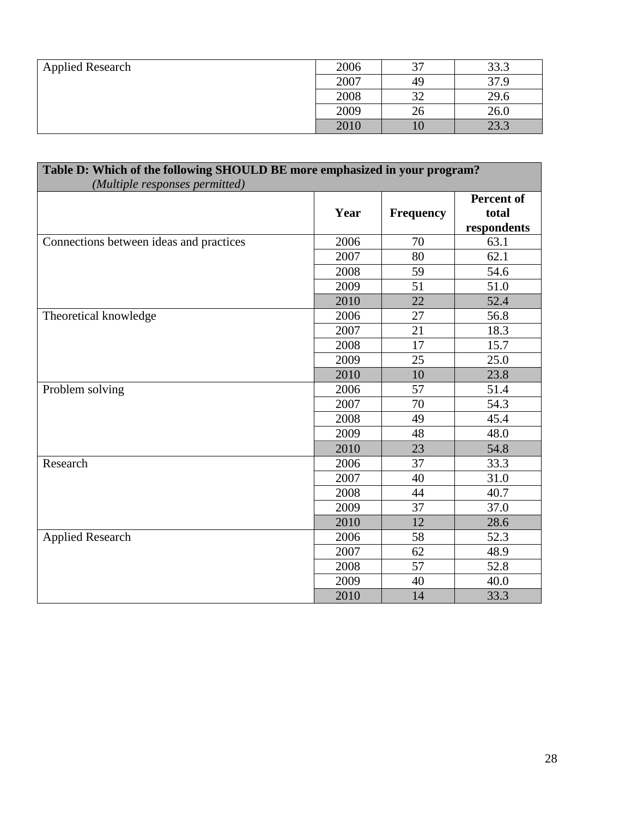| <b>Applied Research</b> | 2006 | 37 | 33.3 |
|-------------------------|------|----|------|
|                         | 2007 | 49 | 37.9 |
|                         | 2008 | 32 | 29.6 |
|                         | 2009 | 26 | 26.0 |
|                         | 2010 |    | 23.3 |

| Table D: Which of the following SHOULD BE more emphasized in your program?<br>(Multiple responses permitted) |      |                  |                                           |
|--------------------------------------------------------------------------------------------------------------|------|------------------|-------------------------------------------|
|                                                                                                              | Year | <b>Frequency</b> | <b>Percent of</b><br>total<br>respondents |
| Connections between ideas and practices                                                                      | 2006 | 70               | 63.1                                      |
|                                                                                                              | 2007 | 80               | 62.1                                      |
|                                                                                                              | 2008 | 59               | 54.6                                      |
|                                                                                                              | 2009 | 51               | 51.0                                      |
|                                                                                                              | 2010 | 22               | 52.4                                      |
| Theoretical knowledge                                                                                        | 2006 | 27               | 56.8                                      |
|                                                                                                              | 2007 | 21               | 18.3                                      |
|                                                                                                              | 2008 | 17               | 15.7                                      |
|                                                                                                              | 2009 | 25               | 25.0                                      |
|                                                                                                              | 2010 | 10               | 23.8                                      |
| Problem solving                                                                                              | 2006 | 57               | 51.4                                      |
|                                                                                                              | 2007 | 70               | 54.3                                      |
|                                                                                                              | 2008 | 49               | 45.4                                      |
|                                                                                                              | 2009 | 48               | 48.0                                      |
|                                                                                                              | 2010 | 23               | 54.8                                      |
| Research                                                                                                     | 2006 | 37               | 33.3                                      |
|                                                                                                              | 2007 | 40               | 31.0                                      |
|                                                                                                              | 2008 | 44               | 40.7                                      |
|                                                                                                              | 2009 | 37               | 37.0                                      |
|                                                                                                              | 2010 | 12               | 28.6                                      |
| <b>Applied Research</b>                                                                                      | 2006 | 58               | 52.3                                      |
|                                                                                                              | 2007 | 62               | 48.9                                      |
|                                                                                                              | 2008 | 57               | 52.8                                      |
|                                                                                                              | 2009 | 40               | 40.0                                      |
|                                                                                                              | 2010 | 14               | 33.3                                      |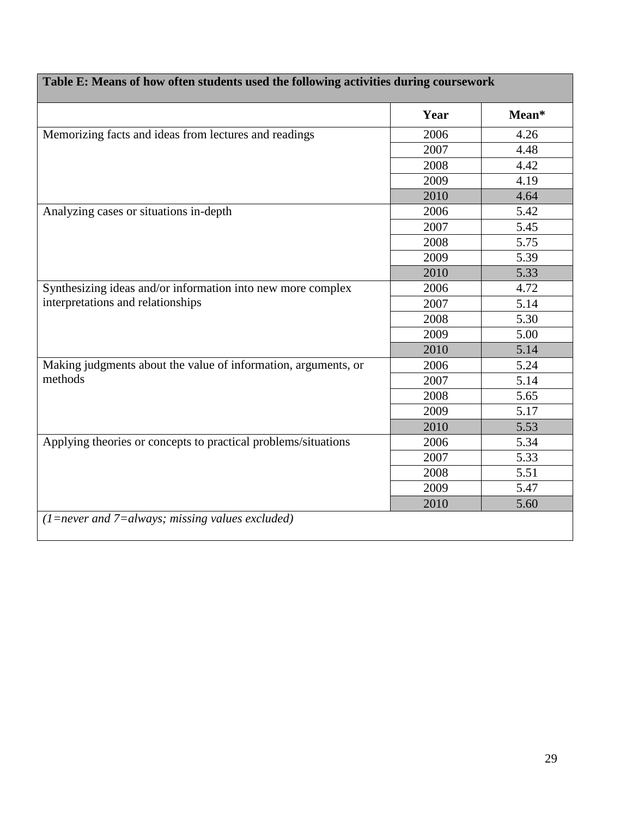|                                                                | Year | Mean* |
|----------------------------------------------------------------|------|-------|
| Memorizing facts and ideas from lectures and readings          | 2006 | 4.26  |
|                                                                | 2007 | 4.48  |
|                                                                | 2008 | 4.42  |
|                                                                | 2009 | 4.19  |
|                                                                | 2010 | 4.64  |
| Analyzing cases or situations in-depth                         | 2006 | 5.42  |
|                                                                | 2007 | 5.45  |
|                                                                | 2008 | 5.75  |
|                                                                | 2009 | 5.39  |
|                                                                | 2010 | 5.33  |
| Synthesizing ideas and/or information into new more complex    | 2006 | 4.72  |
| interpretations and relationships                              | 2007 | 5.14  |
|                                                                | 2008 | 5.30  |
|                                                                | 2009 | 5.00  |
|                                                                | 2010 | 5.14  |
| Making judgments about the value of information, arguments, or | 2006 | 5.24  |
| methods                                                        | 2007 | 5.14  |
|                                                                | 2008 | 5.65  |
|                                                                | 2009 | 5.17  |
|                                                                | 2010 | 5.53  |
| Applying theories or concepts to practical problems/situations | 2006 | 5.34  |
|                                                                | 2007 | 5.33  |
|                                                                | 2008 | 5.51  |
|                                                                | 2009 | 5.47  |
|                                                                | 2010 | 5.60  |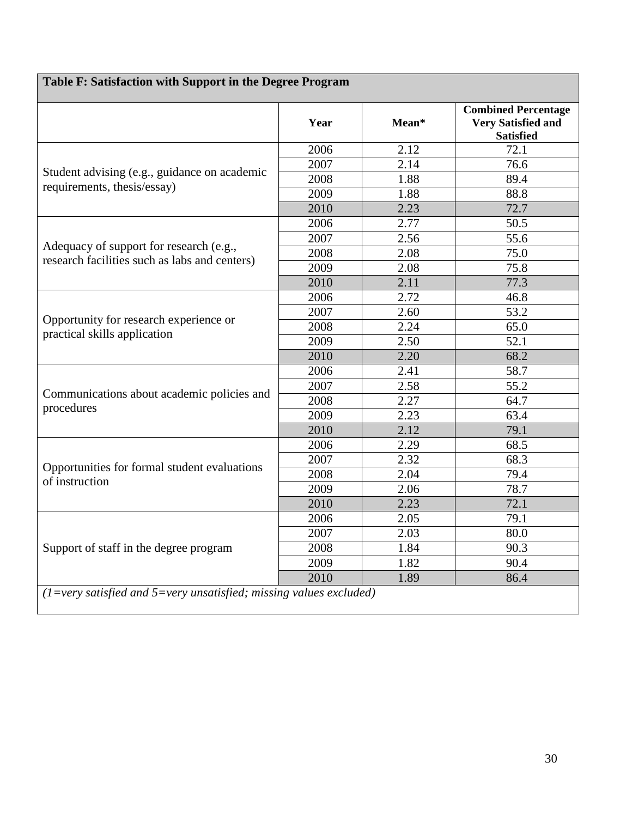| Table F: Satisfaction with Support in the Degree Program                                 |      |       |                                                                             |  |
|------------------------------------------------------------------------------------------|------|-------|-----------------------------------------------------------------------------|--|
|                                                                                          | Year | Mean* | <b>Combined Percentage</b><br><b>Very Satisfied and</b><br><b>Satisfied</b> |  |
|                                                                                          | 2006 | 2.12  | 72.1                                                                        |  |
| Student advising (e.g., guidance on academic<br>requirements, thesis/essay)              | 2007 | 2.14  | 76.6                                                                        |  |
|                                                                                          | 2008 | 1.88  | 89.4                                                                        |  |
|                                                                                          | 2009 | 1.88  | 88.8                                                                        |  |
|                                                                                          | 2010 | 2.23  | 72.7                                                                        |  |
|                                                                                          | 2006 | 2.77  | 50.5                                                                        |  |
|                                                                                          | 2007 | 2.56  | 55.6                                                                        |  |
| Adequacy of support for research (e.g.,<br>research facilities such as labs and centers) | 2008 | 2.08  | 75.0                                                                        |  |
|                                                                                          | 2009 | 2.08  | 75.8                                                                        |  |
|                                                                                          | 2010 | 2.11  | 77.3                                                                        |  |
|                                                                                          | 2006 | 2.72  | 46.8                                                                        |  |
|                                                                                          | 2007 | 2.60  | 53.2                                                                        |  |
| Opportunity for research experience or                                                   | 2008 | 2.24  | 65.0                                                                        |  |
| practical skills application                                                             | 2009 | 2.50  | 52.1                                                                        |  |
|                                                                                          | 2010 | 2.20  | 68.2                                                                        |  |
|                                                                                          | 2006 | 2.41  | 58.7                                                                        |  |
|                                                                                          | 2007 | 2.58  | 55.2                                                                        |  |
| Communications about academic policies and<br>procedures                                 | 2008 | 2.27  | 64.7                                                                        |  |
|                                                                                          | 2009 | 2.23  | 63.4                                                                        |  |
|                                                                                          | 2010 | 2.12  | 79.1                                                                        |  |
|                                                                                          | 2006 | 2.29  | 68.5                                                                        |  |
|                                                                                          | 2007 | 2.32  | 68.3                                                                        |  |
| Opportunities for formal student evaluations<br>of instruction                           | 2008 | 2.04  | 79.4                                                                        |  |
|                                                                                          | 2009 | 2.06  | 78.7                                                                        |  |
|                                                                                          | 2010 | 2.23  | 72.1                                                                        |  |
|                                                                                          | 2006 | 2.05  | 79.1                                                                        |  |
| Support of staff in the degree program                                                   | 2007 | 2.03  | 80.0                                                                        |  |
|                                                                                          | 2008 | 1.84  | 90.3                                                                        |  |
|                                                                                          | 2009 | 1.82  | 90.4                                                                        |  |
|                                                                                          | 2010 | 1.89  | 86.4                                                                        |  |
| $(1=very satisfied and 5=very unsatisfied; missing values excluded)$                     |      |       |                                                                             |  |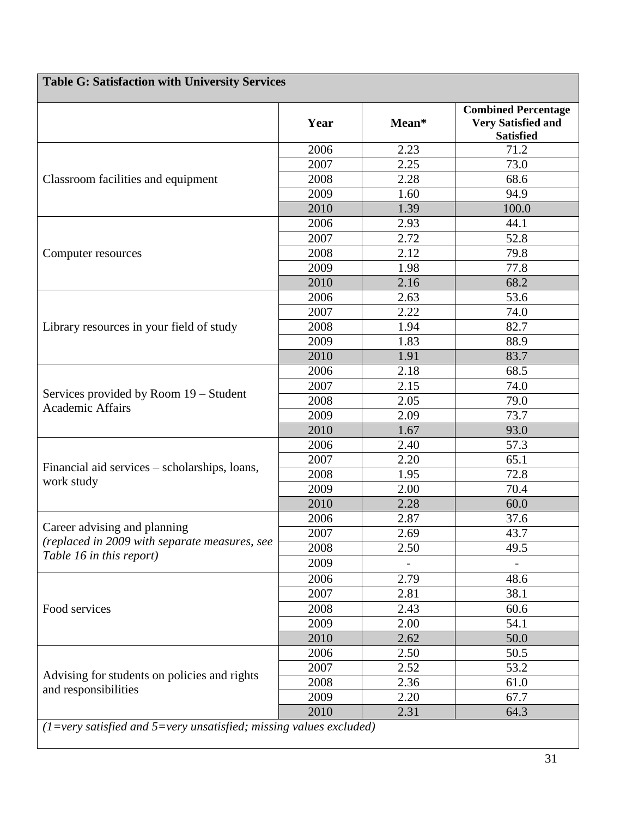| <b>Table G: Satisfaction with University Services</b>                     |      |       |                                                                             |  |
|---------------------------------------------------------------------------|------|-------|-----------------------------------------------------------------------------|--|
|                                                                           | Year | Mean* | <b>Combined Percentage</b><br><b>Very Satisfied and</b><br><b>Satisfied</b> |  |
|                                                                           | 2006 | 2.23  | 71.2                                                                        |  |
|                                                                           | 2007 | 2.25  | 73.0                                                                        |  |
| Classroom facilities and equipment                                        | 2008 | 2.28  | 68.6                                                                        |  |
|                                                                           | 2009 | 1.60  | 94.9                                                                        |  |
|                                                                           | 2010 | 1.39  | 100.0                                                                       |  |
|                                                                           | 2006 | 2.93  | 44.1                                                                        |  |
|                                                                           | 2007 | 2.72  | 52.8                                                                        |  |
| Computer resources                                                        | 2008 | 2.12  | 79.8                                                                        |  |
|                                                                           | 2009 | 1.98  | 77.8                                                                        |  |
|                                                                           | 2010 | 2.16  | 68.2                                                                        |  |
|                                                                           | 2006 | 2.63  | 53.6                                                                        |  |
|                                                                           | 2007 | 2.22  | 74.0                                                                        |  |
| Library resources in your field of study                                  | 2008 | 1.94  | 82.7                                                                        |  |
|                                                                           | 2009 | 1.83  | 88.9                                                                        |  |
|                                                                           | 2010 | 1.91  | 83.7                                                                        |  |
|                                                                           | 2006 | 2.18  | 68.5                                                                        |  |
|                                                                           | 2007 | 2.15  | 74.0                                                                        |  |
| Services provided by Room 19 – Student                                    | 2008 | 2.05  | 79.0                                                                        |  |
| <b>Academic Affairs</b>                                                   | 2009 | 2.09  | 73.7                                                                        |  |
|                                                                           | 2010 | 1.67  | 93.0                                                                        |  |
|                                                                           | 2006 | 2.40  | 57.3                                                                        |  |
|                                                                           | 2007 | 2.20  | 65.1                                                                        |  |
| Financial aid services – scholarships, loans,                             | 2008 | 1.95  | 72.8                                                                        |  |
| work study                                                                | 2009 | 2.00  | 70.4                                                                        |  |
|                                                                           | 2010 | 2.28  | 60.0                                                                        |  |
|                                                                           | 2006 | 2.87  | 37.6                                                                        |  |
| Career advising and planning                                              | 2007 | 2.69  | 43.7                                                                        |  |
| (replaced in 2009 with separate measures, see<br>Table 16 in this report) | 2008 | 2.50  | 49.5                                                                        |  |
|                                                                           | 2009 |       |                                                                             |  |
|                                                                           | 2006 | 2.79  | 48.6                                                                        |  |
|                                                                           | 2007 | 2.81  | 38.1                                                                        |  |
| Food services                                                             | 2008 | 2.43  | 60.6                                                                        |  |
|                                                                           | 2009 | 2.00  | 54.1                                                                        |  |
|                                                                           | 2010 | 2.62  | 50.0                                                                        |  |
|                                                                           | 2006 | 2.50  | 50.5                                                                        |  |
|                                                                           | 2007 | 2.52  | 53.2                                                                        |  |
| Advising for students on policies and rights                              | 2008 | 2.36  | 61.0                                                                        |  |
| and responsibilities                                                      | 2009 | 2.20  | 67.7                                                                        |  |
|                                                                           | 2010 | 2.31  | 64.3                                                                        |  |
|                                                                           |      |       |                                                                             |  |

*(1=very satisfied and 5=very unsatisfied; missing values excluded)*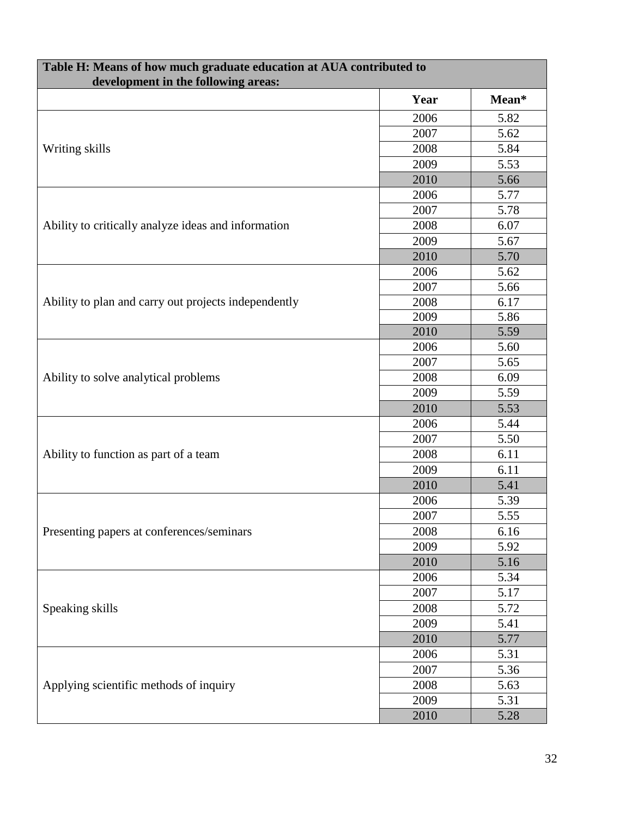| Table H: Means of how much graduate education at AUA contributed to<br>development in the following areas: |      |       |  |
|------------------------------------------------------------------------------------------------------------|------|-------|--|
|                                                                                                            | Year | Mean* |  |
|                                                                                                            | 2006 | 5.82  |  |
| Writing skills                                                                                             | 2007 | 5.62  |  |
|                                                                                                            | 2008 | 5.84  |  |
|                                                                                                            | 2009 | 5.53  |  |
|                                                                                                            | 2010 | 5.66  |  |
| Ability to critically analyze ideas and information                                                        | 2006 | 5.77  |  |
|                                                                                                            | 2007 | 5.78  |  |
|                                                                                                            | 2008 | 6.07  |  |
|                                                                                                            | 2009 | 5.67  |  |
|                                                                                                            | 2010 | 5.70  |  |
|                                                                                                            | 2006 | 5.62  |  |
|                                                                                                            | 2007 | 5.66  |  |
| Ability to plan and carry out projects independently                                                       | 2008 | 6.17  |  |
|                                                                                                            | 2009 | 5.86  |  |
|                                                                                                            | 2010 | 5.59  |  |
|                                                                                                            | 2006 | 5.60  |  |
|                                                                                                            | 2007 | 5.65  |  |
| Ability to solve analytical problems                                                                       | 2008 | 6.09  |  |
|                                                                                                            | 2009 | 5.59  |  |
|                                                                                                            | 2010 | 5.53  |  |
|                                                                                                            | 2006 | 5.44  |  |
|                                                                                                            | 2007 | 5.50  |  |
| Ability to function as part of a team                                                                      | 2008 | 6.11  |  |
|                                                                                                            | 2009 | 6.11  |  |
|                                                                                                            | 2010 | 5.41  |  |
|                                                                                                            | 2006 | 5.39  |  |
|                                                                                                            | 2007 | 5.55  |  |
| Presenting papers at conferences/seminars                                                                  | 2008 | 6.16  |  |
|                                                                                                            | 2009 | 5.92  |  |
|                                                                                                            | 2010 | 5.16  |  |
|                                                                                                            | 2006 | 5.34  |  |
|                                                                                                            | 2007 | 5.17  |  |
| Speaking skills                                                                                            | 2008 | 5.72  |  |
|                                                                                                            | 2009 | 5.41  |  |
|                                                                                                            | 2010 | 5.77  |  |
|                                                                                                            | 2006 | 5.31  |  |
|                                                                                                            | 2007 | 5.36  |  |
| Applying scientific methods of inquiry                                                                     | 2008 | 5.63  |  |
|                                                                                                            | 2009 | 5.31  |  |
|                                                                                                            | 2010 | 5.28  |  |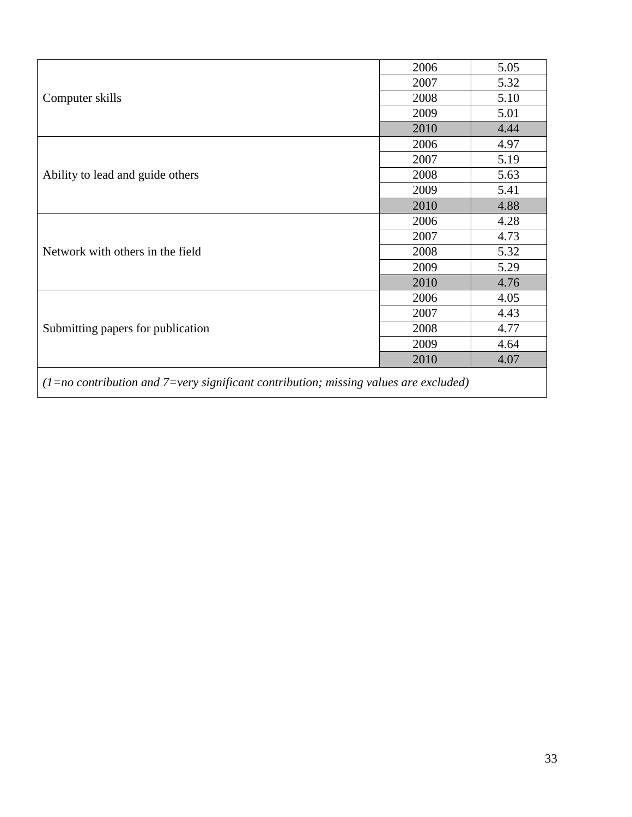| Computer skills                                                                        | 2006 | 5.05 |  |
|----------------------------------------------------------------------------------------|------|------|--|
|                                                                                        | 2007 | 5.32 |  |
|                                                                                        | 2008 | 5.10 |  |
|                                                                                        |      |      |  |
|                                                                                        | 2009 | 5.01 |  |
|                                                                                        | 2010 | 4.44 |  |
| Ability to lead and guide others                                                       | 2006 | 4.97 |  |
|                                                                                        | 2007 | 5.19 |  |
|                                                                                        | 2008 | 5.63 |  |
|                                                                                        | 2009 | 5.41 |  |
|                                                                                        | 2010 | 4.88 |  |
|                                                                                        | 2006 | 4.28 |  |
|                                                                                        | 2007 | 4.73 |  |
| Network with others in the field                                                       | 2008 | 5.32 |  |
|                                                                                        | 2009 | 5.29 |  |
|                                                                                        | 2010 | 4.76 |  |
| Submitting papers for publication                                                      | 2006 | 4.05 |  |
|                                                                                        | 2007 | 4.43 |  |
|                                                                                        | 2008 | 4.77 |  |
|                                                                                        | 2009 | 4.64 |  |
|                                                                                        | 2010 | 4.07 |  |
| $(1=no$ contribution and 7=very significant contribution; missing values are excluded) |      |      |  |

 $\mathsf{l}$